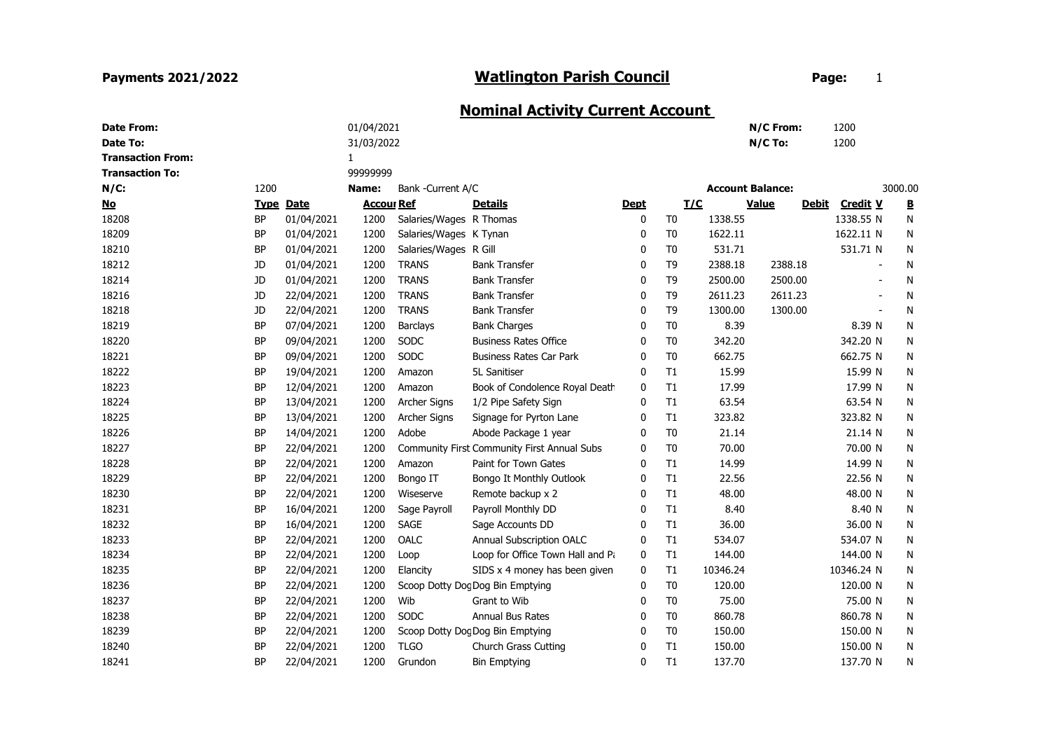## Payments 2021/2022

## Watlington Parish Council **Example 20 Fage:** 1

## Nominal Activity Current Account

| <b>Date From:</b>        |           |                  | 01/04/2021        |                         |                                             |             |                |                         | N/C From:    |              | 1200            |           |
|--------------------------|-----------|------------------|-------------------|-------------------------|---------------------------------------------|-------------|----------------|-------------------------|--------------|--------------|-----------------|-----------|
| <b>Date To:</b>          |           |                  | 31/03/2022        |                         |                                             |             |                |                         | $N/C$ To:    |              | 1200            |           |
| <b>Transaction From:</b> |           |                  | $\mathbf{1}$      |                         |                                             |             |                |                         |              |              |                 |           |
| <b>Transaction To:</b>   |           |                  | 9999999           |                         |                                             |             |                |                         |              |              |                 |           |
| $N/C$ :                  | 1200      |                  | Name:             | Bank -Current A/C       |                                             |             |                | <b>Account Balance:</b> |              |              |                 | 3000.00   |
| <u>No</u>                |           | <b>Type Date</b> | <b>Accour Ref</b> |                         | <u>Details</u>                              | <b>Dept</b> | <b>I/C</b>     |                         | <b>Value</b> | <b>Debit</b> | <b>Credit V</b> | B         |
| 18208                    | <b>BP</b> | 01/04/2021       | 1200              | Salaries/Wages R Thomas |                                             | 0           | T <sub>0</sub> | 1338.55                 |              |              | 1338.55 N       | N         |
| 18209                    | <b>BP</b> | 01/04/2021       | 1200              | Salaries/Wages K Tynan  |                                             | 0           | T <sub>0</sub> | 1622.11                 |              |              | 1622.11 N       | N         |
| 18210                    | <b>BP</b> | 01/04/2021       | 1200              | Salaries/Wages R Gill   |                                             | 0           | T <sub>0</sub> | 531.71                  |              |              | 531.71 N        | N         |
| 18212                    | JD        | 01/04/2021       | 1200              | <b>TRANS</b>            | <b>Bank Transfer</b>                        | 0           | T <sub>9</sub> | 2388.18                 | 2388.18      |              |                 | N         |
| 18214                    | JD        | 01/04/2021       | 1200              | <b>TRANS</b>            | <b>Bank Transfer</b>                        | 0           | T <sub>9</sub> | 2500.00                 | 2500.00      |              |                 | N         |
| 18216                    | JD        | 22/04/2021       | 1200              | <b>TRANS</b>            | <b>Bank Transfer</b>                        | 0           | T <sub>9</sub> | 2611.23                 | 2611.23      |              |                 | N         |
| 18218                    | JD        | 22/04/2021       | 1200              | <b>TRANS</b>            | <b>Bank Transfer</b>                        | 0           | T <sub>9</sub> | 1300.00                 | 1300.00      |              |                 | N         |
| 18219                    | <b>BP</b> | 07/04/2021       | 1200              | <b>Barclays</b>         | <b>Bank Charges</b>                         | 0           | T <sub>0</sub> | 8.39                    |              |              | 8.39 N          | N         |
| 18220                    | <b>BP</b> | 09/04/2021       | 1200              | SODC                    | <b>Business Rates Office</b>                | 0           | T <sub>0</sub> | 342.20                  |              |              | 342.20 N        | N         |
| 18221                    | <b>BP</b> | 09/04/2021       | 1200              | SODC                    | <b>Business Rates Car Park</b>              | $\Omega$    | T <sub>0</sub> | 662.75                  |              |              | 662.75 N        | ${\sf N}$ |
| 18222                    | <b>BP</b> | 19/04/2021       | 1200              | Amazon                  | 5L Sanitiser                                | 0           | T1             | 15.99                   |              |              | 15.99 N         | N         |
| 18223                    | <b>BP</b> | 12/04/2021       | 1200              | Amazon                  | Book of Condolence Royal Death              | 0           | T1             | 17.99                   |              |              | 17.99 N         | N         |
| 18224                    | <b>BP</b> | 13/04/2021       | 1200              | Archer Signs            | 1/2 Pipe Safety Sign                        | $\Omega$    | T1             | 63.54                   |              |              | 63.54 N         | N         |
| 18225                    | <b>BP</b> | 13/04/2021       | 1200              | <b>Archer Signs</b>     | Signage for Pyrton Lane                     | 0           | T1             | 323.82                  |              |              | 323.82 N        | N         |
| 18226                    | BP        | 14/04/2021       | 1200              | Adobe                   | Abode Package 1 year                        | 0           | T <sub>0</sub> | 21.14                   |              |              | 21.14 N         | N         |
| 18227                    | <b>BP</b> | 22/04/2021       | 1200              |                         | Community First Community First Annual Subs | 0           | T <sub>0</sub> | 70.00                   |              |              | 70.00 N         | N         |
| 18228                    | <b>BP</b> | 22/04/2021       | 1200              | Amazon                  | Paint for Town Gates                        | 0           | T1             | 14.99                   |              |              | 14.99 N         | N         |
| 18229                    | <b>BP</b> | 22/04/2021       | 1200              | Bongo IT                | Bongo It Monthly Outlook                    | 0           | T1             | 22.56                   |              |              | 22.56 N         | N         |
| 18230                    | <b>BP</b> | 22/04/2021       | 1200              | Wiseserve               | Remote backup x 2                           | 0           | T1             | 48.00                   |              |              | 48.00 N         | N         |
| 18231                    | <b>BP</b> | 16/04/2021       | 1200              | Sage Payroll            | Payroll Monthly DD                          | 0           | T1             | 8.40                    |              |              | 8.40 N          | N         |
| 18232                    | <b>BP</b> | 16/04/2021       | 1200              | <b>SAGE</b>             | Sage Accounts DD                            | 0           | T1             | 36.00                   |              |              | 36.00 N         | N         |
| 18233                    | <b>BP</b> | 22/04/2021       | 1200              | OALC                    | Annual Subscription OALC                    | 0           | T1             | 534.07                  |              |              | 534.07 N        | N         |
| 18234                    | <b>BP</b> | 22/04/2021       | 1200              | Loop                    | Loop for Office Town Hall and Pa            | 0           | T1             | 144.00                  |              |              | 144.00 N        | N         |
| 18235                    | <b>BP</b> | 22/04/2021       | 1200              | Elancity                | SIDS x 4 money has been given               | 0           | T1             | 10346.24                |              |              | 10346.24 N      | N         |
| 18236                    | <b>BP</b> | 22/04/2021       | 1200              |                         | Scoop Dotty Dog Dog Bin Emptying            | 0           | T <sub>0</sub> | 120.00                  |              |              | 120.00 N        | N         |
| 18237                    | <b>BP</b> | 22/04/2021       | 1200              | Wib                     | Grant to Wib                                | 0           | T <sub>0</sub> | 75.00                   |              |              | 75.00 N         | N         |
| 18238                    | <b>BP</b> | 22/04/2021       | 1200              | <b>SODC</b>             | Annual Bus Rates                            | 0           | T <sub>0</sub> | 860.78                  |              |              | 860.78 N        | N         |
| 18239                    | <b>BP</b> | 22/04/2021       | 1200              |                         | Scoop Dotty Dog Dog Bin Emptying            | 0           | T <sub>0</sub> | 150.00                  |              |              | 150.00 N        | N         |
| 18240                    | <b>BP</b> | 22/04/2021       | 1200              | <b>TLGO</b>             | <b>Church Grass Cutting</b>                 | 0           | T1             | 150.00                  |              |              | 150.00 N        | N         |
| 18241                    | <b>BP</b> | 22/04/2021       | 1200              | Grundon                 | <b>Bin Emptying</b>                         | 0           | T1             | 137.70                  |              |              | 137.70 N        | N         |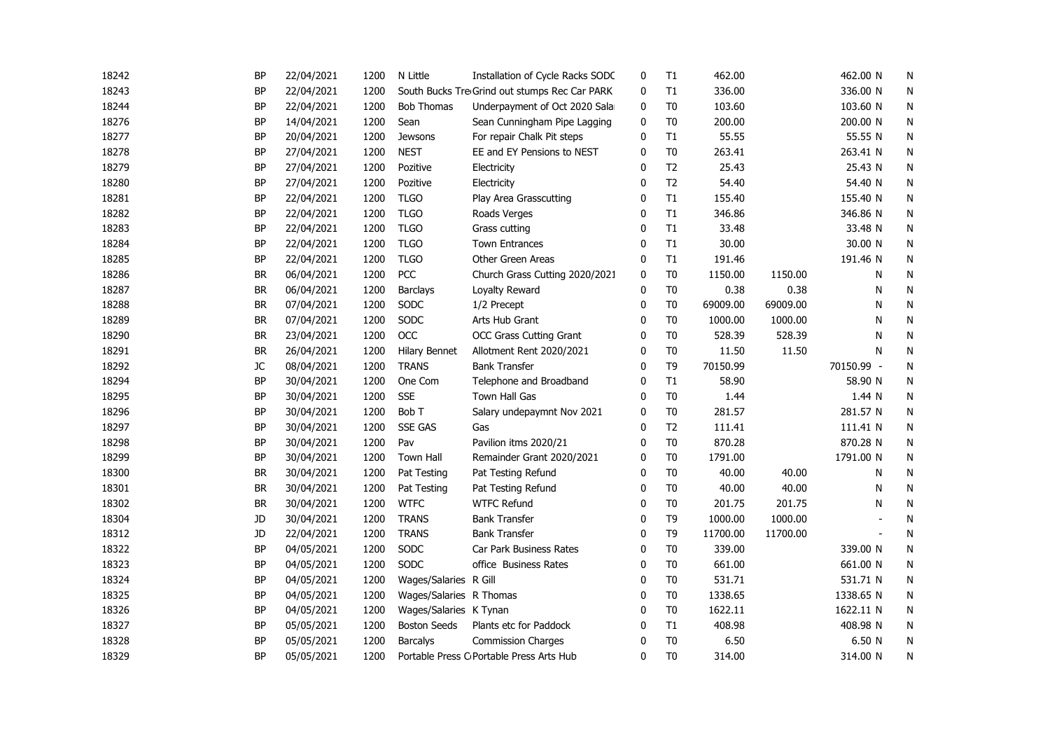| 18242 | <b>BP</b> | 22/04/2021 | 1200 | N Little                | Installation of Cycle Racks SODC              | 0            | T1             | 462.00   |          | 462.00 N       | N         |
|-------|-----------|------------|------|-------------------------|-----------------------------------------------|--------------|----------------|----------|----------|----------------|-----------|
| 18243 | <b>BP</b> | 22/04/2021 | 1200 |                         | South Bucks Tre Grind out stumps Rec Car PARK | 0            | T1             | 336.00   |          | 336.00 N       | N         |
| 18244 | BP        | 22/04/2021 | 1200 | <b>Bob Thomas</b>       | Underpayment of Oct 2020 Salar                | 0            | T <sub>0</sub> | 103.60   |          | 103.60 N       | N         |
| 18276 | <b>BP</b> | 14/04/2021 | 1200 | Sean                    | Sean Cunningham Pipe Lagging                  | $\mathbf{0}$ | T <sub>0</sub> | 200.00   |          | 200.00 N       | N         |
| 18277 | <b>BP</b> | 20/04/2021 | 1200 | <b>Jewsons</b>          | For repair Chalk Pit steps                    | $\mathbf{0}$ | T1             | 55.55    |          | 55.55 N        | ${\sf N}$ |
| 18278 | <b>BP</b> | 27/04/2021 | 1200 | <b>NEST</b>             | EE and EY Pensions to NEST                    | 0            | T <sub>0</sub> | 263.41   |          | 263.41 N       | N         |
| 18279 | <b>BP</b> | 27/04/2021 | 1200 | Pozitive                | Electricity                                   | $\mathbf{0}$ | T <sub>2</sub> | 25.43    |          | 25.43 N        | N         |
| 18280 | <b>BP</b> | 27/04/2021 | 1200 | Pozitive                | Electricity                                   | $\Omega$     | T <sub>2</sub> | 54.40    |          | 54.40 N        | N         |
| 18281 | BP        | 22/04/2021 | 1200 | <b>TLGO</b>             | Play Area Grasscutting                        | 0            | T1             | 155.40   |          | 155.40 N       | N         |
| 18282 | BP        | 22/04/2021 | 1200 | <b>TLGO</b>             | Roads Verges                                  | 0            | T1             | 346.86   |          | 346.86 N       | N         |
| 18283 | BP        | 22/04/2021 | 1200 | <b>TLGO</b>             | Grass cutting                                 | $\mathbf 0$  | T1             | 33.48    |          | 33.48 N        | ${\sf N}$ |
| 18284 | BP        | 22/04/2021 | 1200 | <b>TLGO</b>             | <b>Town Entrances</b>                         | 0            | T1             | 30.00    |          | 30.00 N        | N         |
| 18285 | <b>BP</b> | 22/04/2021 | 1200 | <b>TLGO</b>             | Other Green Areas                             | 0            | T1             | 191.46   |          | 191.46 N       | N         |
| 18286 | BR        | 06/04/2021 | 1200 | PCC                     | Church Grass Cutting 2020/2021                | 0            | T <sub>0</sub> | 1150.00  | 1150.00  | Ν              | N         |
| 18287 | <b>BR</b> | 06/04/2021 | 1200 | <b>Barclays</b>         | Loyalty Reward                                | 0            | T <sub>0</sub> | 0.38     | 0.38     | N              | N         |
| 18288 | BR        | 07/04/2021 | 1200 | SODC                    | 1/2 Precept                                   | 0            | T <sub>0</sub> | 69009.00 | 69009.00 | N              | N         |
| 18289 | BR        | 07/04/2021 | 1200 | SODC                    | Arts Hub Grant                                | 0            | T <sub>0</sub> | 1000.00  | 1000.00  | N              | N         |
| 18290 | <b>BR</b> | 23/04/2021 | 1200 | <b>OCC</b>              | <b>OCC Grass Cutting Grant</b>                | $\mathbf{0}$ | T <sub>0</sub> | 528.39   | 528.39   | N              | N         |
| 18291 | <b>BR</b> | 26/04/2021 | 1200 | <b>Hilary Bennet</b>    | Allotment Rent 2020/2021                      | 0            | T <sub>0</sub> | 11.50    | 11.50    | N              | N         |
| 18292 | JC        | 08/04/2021 | 1200 | <b>TRANS</b>            | <b>Bank Transfer</b>                          | $\mathbf{0}$ | T <sub>9</sub> | 70150.99 |          | 70150.99 -     | N         |
| 18294 | BP        | 30/04/2021 | 1200 | One Com                 | Telephone and Broadband                       | 0            | T1             | 58.90    |          | 58.90 N        | N         |
| 18295 | BP        | 30/04/2021 | 1200 | <b>SSE</b>              | Town Hall Gas                                 | 0            | T <sub>0</sub> | 1.44     |          | 1.44 N         | N         |
| 18296 | BP        | 30/04/2021 | 1200 | Bob T                   | Salary undepaymnt Nov 2021                    | 0            | T <sub>0</sub> | 281.57   |          | 281.57 N       | N         |
| 18297 | BP        | 30/04/2021 | 1200 | <b>SSE GAS</b>          | Gas                                           | 0            | T <sub>2</sub> | 111.41   |          | 111.41 N       | N         |
| 18298 | BP        | 30/04/2021 | 1200 | Pav                     | Pavilion itms 2020/21                         | 0            | T <sub>0</sub> | 870.28   |          | 870.28 N       | N         |
| 18299 | BP        | 30/04/2021 | 1200 | Town Hall               | Remainder Grant 2020/2021                     | 0            | T <sub>0</sub> | 1791.00  |          | 1791.00 N      | N         |
| 18300 | BR        | 30/04/2021 | 1200 | Pat Testing             | Pat Testing Refund                            | 0            | T <sub>0</sub> | 40.00    | 40.00    | Ν              | N         |
| 18301 | BR        | 30/04/2021 | 1200 | Pat Testing             | Pat Testing Refund                            | 0            | T <sub>0</sub> | 40.00    | 40.00    | N              | N         |
| 18302 | BR        | 30/04/2021 | 1200 | <b>WTFC</b>             | <b>WTFC Refund</b>                            | 0            | T <sub>0</sub> | 201.75   | 201.75   | N              | N         |
| 18304 | JD        | 30/04/2021 | 1200 | <b>TRANS</b>            | <b>Bank Transfer</b>                          | 0            | T9             | 1000.00  | 1000.00  |                | N         |
| 18312 | JD        | 22/04/2021 | 1200 | <b>TRANS</b>            | <b>Bank Transfer</b>                          | $\mathbf{0}$ | T <sub>9</sub> | 11700.00 | 11700.00 | $\blacksquare$ | N         |
| 18322 | <b>BP</b> | 04/05/2021 | 1200 | SODC                    | Car Park Business Rates                       | $\mathbf 0$  | T <sub>0</sub> | 339.00   |          | 339.00 N       | N         |
| 18323 | BP        | 04/05/2021 | 1200 | <b>SODC</b>             | office Business Rates                         | 0            | T <sub>0</sub> | 661.00   |          | 661.00 N       | N         |
| 18324 | <b>BP</b> | 04/05/2021 | 1200 | Wages/Salaries R Gill   |                                               | $\Omega$     | T <sub>0</sub> | 531.71   |          | 531.71 N       | N         |
| 18325 | BP        | 04/05/2021 | 1200 | Wages/Salaries R Thomas |                                               | 0            | T <sub>0</sub> | 1338.65  |          | 1338.65 N      | N         |
| 18326 | BP        | 04/05/2021 | 1200 | Wages/Salaries K Tynan  |                                               | 0            | T <sub>0</sub> | 1622.11  |          | 1622.11 N      | N         |
| 18327 | <b>BP</b> | 05/05/2021 | 1200 | <b>Boston Seeds</b>     | Plants etc for Paddock                        | 0            | T1             | 408.98   |          | 408.98 N       | N         |
| 18328 | <b>BP</b> | 05/05/2021 | 1200 | <b>Barcalys</b>         | <b>Commission Charges</b>                     | 0            | T <sub>0</sub> | 6.50     |          | 6.50 N         | N         |
| 18329 | <b>BP</b> | 05/05/2021 | 1200 |                         | Portable Press C Portable Press Arts Hub      | $\mathbf{0}$ | T <sub>0</sub> | 314.00   |          | 314.00 N       | N         |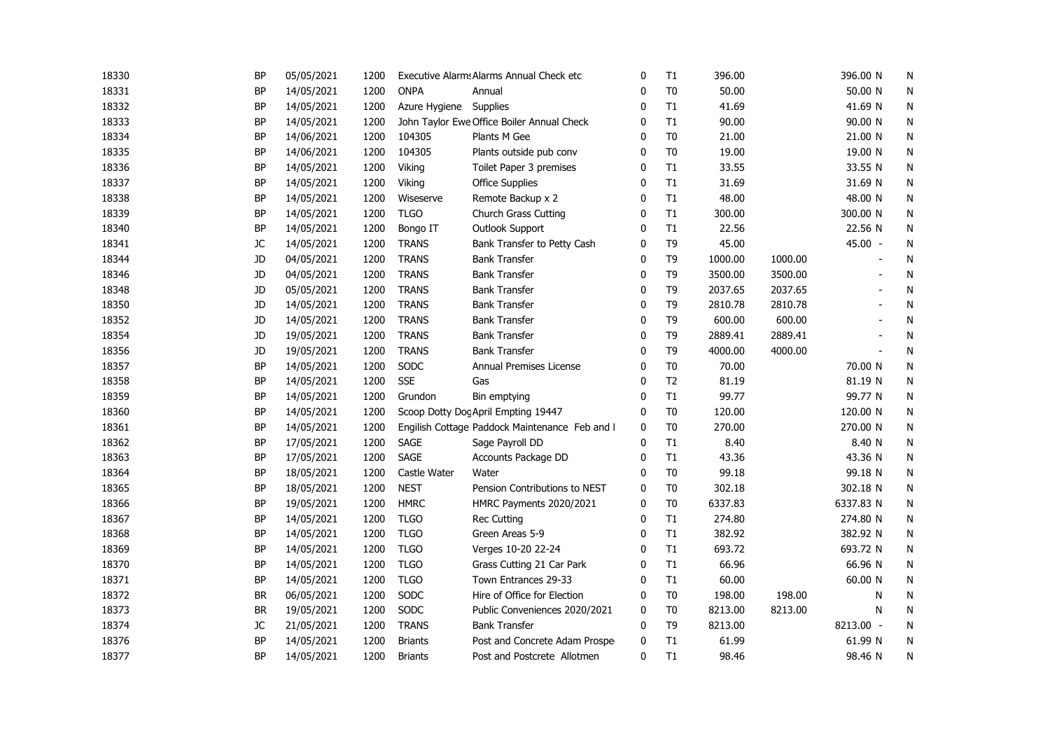| 18330 | <b>BP</b> | 05/05/2021 | 1200 |                | Executive Alarms Alarms Annual Check etc       | 0            | T1             | 396.00  |         | 396.00 N  | N         |
|-------|-----------|------------|------|----------------|------------------------------------------------|--------------|----------------|---------|---------|-----------|-----------|
| 18331 | <b>BP</b> | 14/05/2021 | 1200 | <b>ONPA</b>    | Annual                                         | 0            | T <sub>0</sub> | 50.00   |         | 50.00 N   | N         |
| 18332 | <b>BP</b> | 14/05/2021 | 1200 | Azure Hygiene  | Supplies                                       | $\mathbf{0}$ | T1             | 41.69   |         | 41.69 N   | N         |
| 18333 | <b>BP</b> | 14/05/2021 | 1200 |                | John Taylor Ewe Office Boiler Annual Check     | $\mathbf{0}$ | T1             | 90.00   |         | 90.00 N   | N         |
| 18334 | BP        | 14/06/2021 | 1200 | 104305         | Plants M Gee                                   | $\mathbf{0}$ | T <sub>0</sub> | 21.00   |         | 21.00 N   | N         |
| 18335 | BP        | 14/06/2021 | 1200 | 104305         | Plants outside pub conv                        | $\mathbf{0}$ | T <sub>0</sub> | 19.00   |         | 19.00 N   | N         |
| 18336 | <b>BP</b> | 14/05/2021 | 1200 | Viking         | Toilet Paper 3 premises                        | $\mathbf{0}$ | T1             | 33.55   |         | 33.55 N   | N         |
| 18337 | <b>BP</b> | 14/05/2021 | 1200 | Viking         | <b>Office Supplies</b>                         | 0            | T1             | 31.69   |         | 31.69 N   | N         |
| 18338 | <b>BP</b> | 14/05/2021 | 1200 | Wiseserve      | Remote Backup x 2                              | 0            | T1             | 48.00   |         | 48.00 N   | N         |
| 18339 | BP        | 14/05/2021 | 1200 | <b>TLGO</b>    | <b>Church Grass Cutting</b>                    | 0            | T1             | 300.00  |         | 300.00 N  | N         |
| 18340 | BP        | 14/05/2021 | 1200 | Bongo IT       | Outlook Support                                | 0            | T1             | 22.56   |         | 22.56 N   | N         |
| 18341 | JC        | 14/05/2021 | 1200 | <b>TRANS</b>   | Bank Transfer to Petty Cash                    | 0            | T <sub>9</sub> | 45.00   |         | 45.00 -   | N         |
| 18344 | JD        | 04/05/2021 | 1200 | <b>TRANS</b>   | <b>Bank Transfer</b>                           | $\mathbf 0$  | T <sub>9</sub> | 1000.00 | 1000.00 |           | N         |
| 18346 | JD        | 04/05/2021 | 1200 | <b>TRANS</b>   | <b>Bank Transfer</b>                           | $\mathbf 0$  | T <sub>9</sub> | 3500.00 | 3500.00 |           | N         |
| 18348 | JD        | 05/05/2021 | 1200 | <b>TRANS</b>   | <b>Bank Transfer</b>                           | 0            | T <sub>9</sub> | 2037.65 | 2037.65 |           | N         |
| 18350 | JD        | 14/05/2021 | 1200 | <b>TRANS</b>   | <b>Bank Transfer</b>                           | $\mathbf{0}$ | T <sub>9</sub> | 2810.78 | 2810.78 |           | N         |
| 18352 | JD        | 14/05/2021 | 1200 | <b>TRANS</b>   | <b>Bank Transfer</b>                           | $\mathbf 0$  | T <sub>9</sub> | 600.00  | 600.00  |           | N         |
| 18354 | JD        | 19/05/2021 | 1200 | <b>TRANS</b>   | <b>Bank Transfer</b>                           | 0            | T <sub>9</sub> | 2889.41 | 2889.41 | ÷.        | N         |
| 18356 | JD        | 19/05/2021 | 1200 | <b>TRANS</b>   | <b>Bank Transfer</b>                           | $\mathbf{0}$ | T <sub>9</sub> | 4000.00 | 4000.00 | ÷         | N         |
| 18357 | BP        | 14/05/2021 | 1200 | SODC           | Annual Premises License                        | $\mathbf{0}$ | T <sub>0</sub> | 70.00   |         | 70.00 N   | N         |
| 18358 | <b>BP</b> | 14/05/2021 | 1200 | <b>SSE</b>     | Gas                                            | $\mathbf{0}$ | T <sub>2</sub> | 81.19   |         | 81.19 N   | N         |
| 18359 | <b>BP</b> | 14/05/2021 | 1200 | Grundon        | Bin emptying                                   | $\mathbf{0}$ | T1             | 99.77   |         | 99.77 N   | N         |
| 18360 | <b>BP</b> | 14/05/2021 | 1200 |                | Scoop Dotty Dog April Empting 19447            | 0            | T <sub>0</sub> | 120.00  |         | 120.00 N  | N         |
| 18361 | <b>BP</b> | 14/05/2021 | 1200 |                | Engilish Cottage Paddock Maintenance Feb and I | 0            | T <sub>0</sub> | 270.00  |         | 270.00 N  | N         |
| 18362 | <b>BP</b> | 17/05/2021 | 1200 | <b>SAGE</b>    | Sage Payroll DD                                | 0            | T1             | 8.40    |         | 8.40 N    | N         |
| 18363 | BP        | 17/05/2021 | 1200 | SAGE           | Accounts Package DD                            | 0            | T1             | 43.36   |         | 43.36 N   | N         |
| 18364 | BP        | 18/05/2021 | 1200 | Castle Water   | Water                                          | 0            | T <sub>0</sub> | 99.18   |         | 99.18 N   | N         |
| 18365 | <b>BP</b> | 18/05/2021 | 1200 | <b>NEST</b>    | Pension Contributions to NEST                  | 0            | T <sub>0</sub> | 302.18  |         | 302.18 N  | N         |
| 18366 | <b>BP</b> | 19/05/2021 | 1200 | <b>HMRC</b>    | HMRC Payments 2020/2021                        | $\mathbf{0}$ | T <sub>0</sub> | 6337.83 |         | 6337.83 N | N         |
| 18367 | BP        | 14/05/2021 | 1200 | <b>TLGO</b>    | <b>Rec Cutting</b>                             | $\mathbf{0}$ | T1             | 274.80  |         | 274.80 N  | N         |
| 18368 | <b>BP</b> | 14/05/2021 | 1200 | <b>TLGO</b>    | Green Areas 5-9                                | 0            | T1             | 382.92  |         | 382.92 N  | N         |
| 18369 | <b>BP</b> | 14/05/2021 | 1200 | <b>TLGO</b>    | Verges 10-20 22-24                             | $\mathbf{0}$ | T1             | 693.72  |         | 693.72 N  | N         |
| 18370 | BP        | 14/05/2021 | 1200 | <b>TLGO</b>    | Grass Cutting 21 Car Park                      | 0            | T1             | 66.96   |         | 66.96 N   | N         |
| 18371 | <b>BP</b> | 14/05/2021 | 1200 | <b>TLGO</b>    | Town Entrances 29-33                           | 0            | T1             | 60.00   |         | 60.00 N   | N         |
| 18372 | BR        | 06/05/2021 | 1200 | SODC           | Hire of Office for Election                    | 0            | T <sub>0</sub> | 198.00  | 198.00  | N         | N         |
| 18373 | <b>BR</b> | 19/05/2021 | 1200 | SODC           | Public Conveniences 2020/2021                  | $\mathbf 0$  | T <sub>0</sub> | 8213.00 | 8213.00 | N         | ${\sf N}$ |
| 18374 | JC        | 21/05/2021 | 1200 | <b>TRANS</b>   | <b>Bank Transfer</b>                           | 0            | T <sub>9</sub> | 8213.00 |         | 8213.00 - | N         |
| 18376 | BP        | 14/05/2021 | 1200 | <b>Briants</b> | Post and Concrete Adam Prospe                  | $\mathbf 0$  | T1             | 61.99   |         | 61.99 N   | N         |
| 18377 | <b>BP</b> | 14/05/2021 | 1200 | <b>Briants</b> | Post and Postcrete Allotmen                    | 0            | T1             | 98.46   |         | 98.46 N   | N         |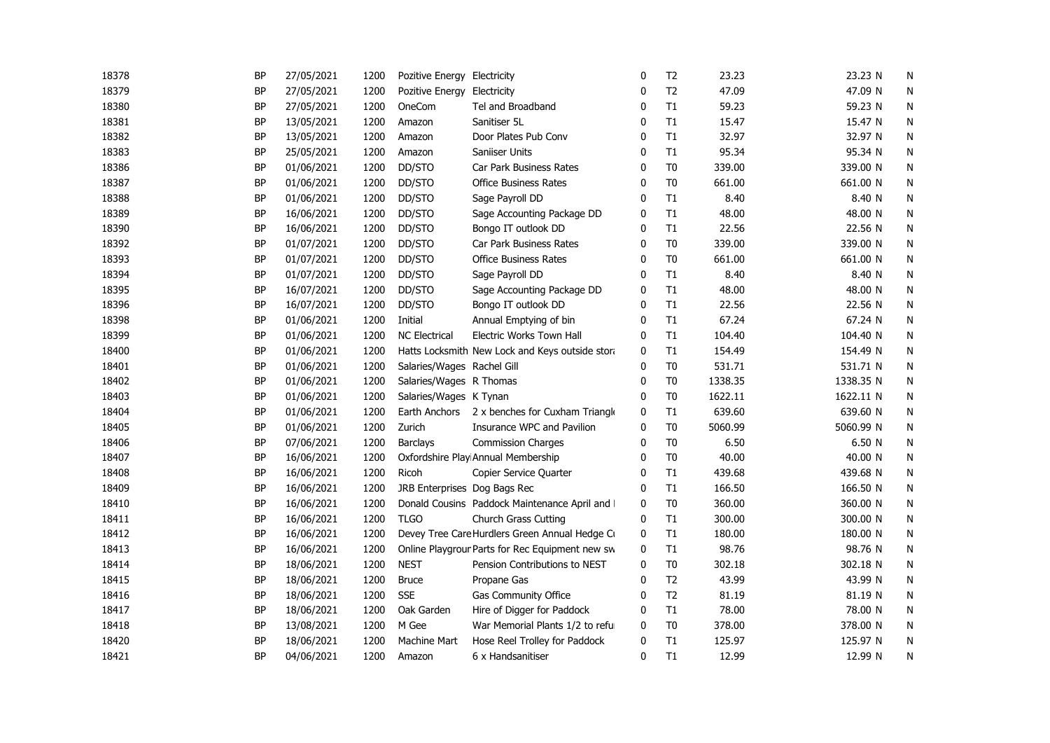| 18378 | <b>BP</b> | 27/05/2021 | 1200 | Pozitive Energy Electricity  |                                                 | $\mathbf 0$  | T <sub>2</sub> | 23.23   | 23.23 N   | N         |
|-------|-----------|------------|------|------------------------------|-------------------------------------------------|--------------|----------------|---------|-----------|-----------|
| 18379 | <b>BP</b> | 27/05/2021 | 1200 | Pozitive Energy Electricity  |                                                 | 0            | T <sub>2</sub> | 47.09   | 47.09 N   | N         |
| 18380 | BP        | 27/05/2021 | 1200 | OneCom                       | Tel and Broadband                               | 0            | T1             | 59.23   | 59.23 N   | N         |
| 18381 | <b>BP</b> | 13/05/2021 | 1200 | Amazon                       | Sanitiser 5L                                    | $\Omega$     | T1             | 15.47   | 15.47 N   | N         |
| 18382 | <b>BP</b> | 13/05/2021 | 1200 | Amazon                       | Door Plates Pub Conv                            | 0            | T1             | 32.97   | 32.97 N   | N         |
| 18383 | <b>BP</b> | 25/05/2021 | 1200 | Amazon                       | Saniiser Units                                  | $\mathbf{0}$ | T1             | 95.34   | 95.34 N   | N         |
| 18386 | <b>BP</b> | 01/06/2021 | 1200 | DD/STO                       | Car Park Business Rates                         | $\mathbf{0}$ | T <sub>0</sub> | 339.00  | 339.00 N  | N         |
| 18387 | BP        | 01/06/2021 | 1200 | DD/STO                       | <b>Office Business Rates</b>                    | $\Omega$     | T <sub>0</sub> | 661.00  | 661.00 N  | N         |
| 18388 | <b>BP</b> | 01/06/2021 | 1200 | DD/STO                       | Sage Payroll DD                                 | $\Omega$     | T1             | 8.40    | 8.40 N    | N         |
| 18389 | <b>BP</b> | 16/06/2021 | 1200 | DD/STO                       | Sage Accounting Package DD                      | 0            | T1             | 48.00   | 48.00 N   | N         |
| 18390 | BP        | 16/06/2021 | 1200 | DD/STO                       | Bongo IT outlook DD                             | 0            | T1             | 22.56   | 22.56 N   | N         |
| 18392 | BP        | 01/07/2021 | 1200 | DD/STO                       | Car Park Business Rates                         | 0            | T <sub>0</sub> | 339.00  | 339.00 N  | N         |
| 18393 | <b>BP</b> | 01/07/2021 | 1200 | DD/STO                       | <b>Office Business Rates</b>                    | 0            | T <sub>0</sub> | 661.00  | 661.00 N  | N         |
| 18394 | <b>BP</b> | 01/07/2021 | 1200 | DD/STO                       | Sage Payroll DD                                 | 0            | T1             | 8.40    | 8.40 N    | N         |
| 18395 | BP        | 16/07/2021 | 1200 | DD/STO                       | Sage Accounting Package DD                      | $\Omega$     | T1             | 48.00   | 48.00 N   | N         |
| 18396 | <b>BP</b> | 16/07/2021 | 1200 | DD/STO                       | Bongo IT outlook DD                             | $\mathbf{0}$ | T1             | 22.56   | 22.56 N   | N         |
| 18398 | <b>BP</b> | 01/06/2021 | 1200 | Initial                      | Annual Emptying of bin                          | $\mathbf{0}$ | T1             | 67.24   | 67.24 N   | N         |
| 18399 | <b>BP</b> | 01/06/2021 | 1200 | <b>NC Electrical</b>         | <b>Electric Works Town Hall</b>                 | 0            | T1             | 104.40  | 104.40 N  | N         |
| 18400 | <b>BP</b> | 01/06/2021 | 1200 |                              | Hatts Locksmith New Lock and Keys outside stora | 0            | T1             | 154.49  | 154.49 N  | N         |
| 18401 | <b>BP</b> | 01/06/2021 | 1200 | Salaries/Wages Rachel Gill   |                                                 | $\mathbf{0}$ | T <sub>0</sub> | 531.71  | 531.71 N  | N         |
| 18402 | BP        | 01/06/2021 | 1200 | Salaries/Wages R Thomas      |                                                 | 0            | T <sub>0</sub> | 1338.35 | 1338.35 N | N         |
| 18403 | BP        | 01/06/2021 | 1200 | Salaries/Wages K Tynan       |                                                 | 0            | T <sub>0</sub> | 1622.11 | 1622.11 N | N         |
| 18404 | BP        | 01/06/2021 | 1200 | Earth Anchors                | 2 x benches for Cuxham Triangle                 | 0            | T1             | 639.60  | 639.60 N  | N         |
| 18405 | BP        | 01/06/2021 | 1200 | Zurich                       | Insurance WPC and Pavilion                      | 0            | T <sub>0</sub> | 5060.99 | 5060.99 N | N         |
| 18406 | <b>BP</b> | 07/06/2021 | 1200 | Barclays                     | <b>Commission Charges</b>                       | 0            | T <sub>0</sub> | 6.50    | 6.50 N    | N         |
| 18407 | <b>BP</b> | 16/06/2021 | 1200 |                              | Oxfordshire Play Annual Membership              | 0            | T <sub>0</sub> | 40.00   | 40.00 N   | N         |
| 18408 | <b>BP</b> | 16/06/2021 | 1200 | Ricoh                        | Copier Service Quarter                          | 0            | T1             | 439.68  | 439.68 N  | N         |
| 18409 | <b>BP</b> | 16/06/2021 | 1200 | JRB Enterprises Dog Bags Rec |                                                 | 0            | T1             | 166.50  | 166.50 N  | N         |
| 18410 | <b>BP</b> | 16/06/2021 | 1200 |                              | Donald Cousins Paddock Maintenance April and I  | 0            | T <sub>0</sub> | 360.00  | 360.00 N  | N         |
| 18411 | <b>BP</b> | 16/06/2021 | 1200 | <b>TLGO</b>                  | <b>Church Grass Cutting</b>                     | 0            | T1             | 300.00  | 300.00 N  | N         |
| 18412 | <b>BP</b> | 16/06/2021 | 1200 |                              | Devey Tree Care Hurdlers Green Annual Hedge Cu  | 0            | T1             | 180.00  | 180.00 N  | ${\sf N}$ |
| 18413 | BP        | 16/06/2021 | 1200 |                              | Online Playgrour Parts for Rec Equipment new sw | 0            | T1             | 98.76   | 98.76 N   | N         |
| 18414 | BP        | 18/06/2021 | 1200 | <b>NEST</b>                  | Pension Contributions to NEST                   | 0            | T <sub>0</sub> | 302.18  | 302.18 N  | N         |
| 18415 | <b>BP</b> | 18/06/2021 | 1200 | <b>Bruce</b>                 | Propane Gas                                     | 0            | T <sub>2</sub> | 43.99   | 43.99 N   | N         |
| 18416 | ΒP        | 18/06/2021 | 1200 | <b>SSE</b>                   | Gas Community Office                            | $\Omega$     | T <sub>2</sub> | 81.19   | 81.19 N   | N         |
| 18417 | <b>BP</b> | 18/06/2021 | 1200 | Oak Garden                   | Hire of Digger for Paddock                      | 0            | T1             | 78.00   | 78.00 N   | N         |
| 18418 | BP        | 13/08/2021 | 1200 | M Gee                        | War Memorial Plants 1/2 to reful                | 0            | T <sub>0</sub> | 378.00  | 378.00 N  | N         |
| 18420 | <b>BP</b> | 18/06/2021 | 1200 | Machine Mart                 | Hose Reel Trolley for Paddock                   | 0            | T1             | 125.97  | 125.97 N  | N         |
| 18421 | <b>BP</b> | 04/06/2021 | 1200 | Amazon                       | 6 x Handsanitiser                               | $\mathbf{0}$ | T1             | 12.99   | 12.99 N   | N         |
|       |           |            |      |                              |                                                 |              |                |         |           |           |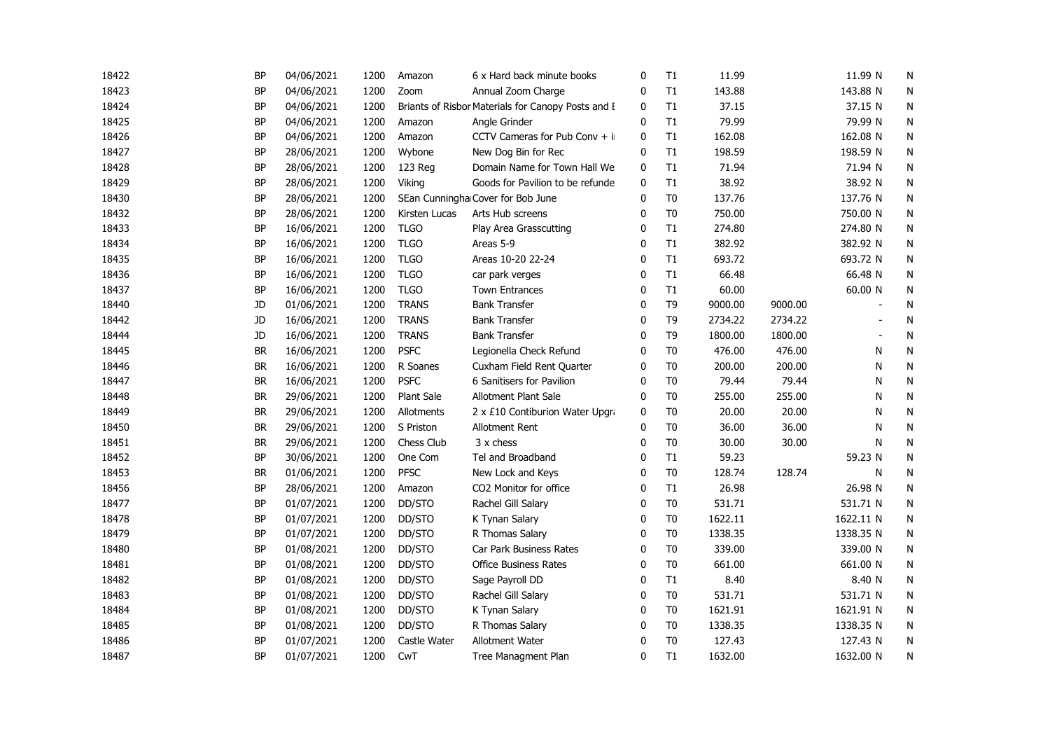| 18422 | <b>BP</b> | 04/06/2021 | 1200 | Amazon        | 6 x Hard back minute books                         | 0            | T1             | 11.99   |         | 11.99 N                  | N |
|-------|-----------|------------|------|---------------|----------------------------------------------------|--------------|----------------|---------|---------|--------------------------|---|
| 18423 | <b>BP</b> | 04/06/2021 | 1200 | Zoom          | Annual Zoom Charge                                 | 0            | T1             | 143.88  |         | 143.88 N                 | N |
| 18424 | <b>BP</b> | 04/06/2021 | 1200 |               | Briants of Risbor Materials for Canopy Posts and E | 0            | T1             | 37.15   |         | 37.15 N                  | N |
| 18425 | <b>BP</b> | 04/06/2021 | 1200 | Amazon        | Angle Grinder                                      | $\mathbf{0}$ | T1             | 79.99   |         | 79.99 N                  | N |
| 18426 | <b>BP</b> | 04/06/2021 | 1200 | Amazon        | CCTV Cameras for Pub Conv $+$ ii                   | 0            | $\mathsf{T}1$  | 162.08  |         | 162.08 N                 | N |
| 18427 | <b>BP</b> | 28/06/2021 | 1200 | Wybone        | New Dog Bin for Rec                                | $\mathbf{0}$ | T1             | 198.59  |         | 198.59 N                 | N |
| 18428 | <b>BP</b> | 28/06/2021 | 1200 | 123 Reg       | Domain Name for Town Hall We                       | 0            | T1             | 71.94   |         | 71.94 N                  | N |
| 18429 | <b>BP</b> | 28/06/2021 | 1200 | Viking        | Goods for Pavilion to be refunde                   | 0            | T1             | 38.92   |         | 38.92 N                  | N |
| 18430 | BP        | 28/06/2021 | 1200 |               | SEan Cunningha Cover for Bob June                  | 0            | T <sub>0</sub> | 137.76  |         | 137.76 N                 | N |
| 18432 | <b>BP</b> | 28/06/2021 | 1200 | Kirsten Lucas | Arts Hub screens                                   | 0            | T <sub>0</sub> | 750.00  |         | 750.00 N                 | N |
| 18433 | BP        | 16/06/2021 | 1200 | <b>TLGO</b>   | Play Area Grasscutting                             | 0            | T1             | 274.80  |         | 274.80 N                 | N |
| 18434 | <b>BP</b> | 16/06/2021 | 1200 | <b>TLGO</b>   | Areas 5-9                                          | 0            | T1             | 382.92  |         | 382.92 N                 | N |
| 18435 | <b>BP</b> | 16/06/2021 | 1200 | <b>TLGO</b>   | Areas 10-20 22-24                                  | $\mathbf 0$  | T1             | 693.72  |         | 693.72 N                 | N |
| 18436 | <b>BP</b> | 16/06/2021 | 1200 | <b>TLGO</b>   | car park verges                                    | $\mathbf 0$  | T1             | 66.48   |         | 66.48 N                  | N |
| 18437 | <b>BP</b> | 16/06/2021 | 1200 | <b>TLGO</b>   | <b>Town Entrances</b>                              | 0            | T1             | 60.00   |         | 60.00 N                  | N |
| 18440 | JD        | 01/06/2021 | 1200 | <b>TRANS</b>  | <b>Bank Transfer</b>                               | $\mathbf{0}$ | T <sub>9</sub> | 9000.00 | 9000.00 |                          | N |
| 18442 | <b>JD</b> | 16/06/2021 | 1200 | <b>TRANS</b>  | <b>Bank Transfer</b>                               | 0            | T <sub>9</sub> | 2734.22 | 2734.22 |                          | N |
| 18444 | JD        | 16/06/2021 | 1200 | <b>TRANS</b>  | <b>Bank Transfer</b>                               | 0            | T <sub>9</sub> | 1800.00 | 1800.00 | $\overline{\phantom{a}}$ | N |
| 18445 | <b>BR</b> | 16/06/2021 | 1200 | <b>PSFC</b>   | Legionella Check Refund                            | 0            | T <sub>0</sub> | 476.00  | 476.00  | N                        | N |
| 18446 | <b>BR</b> | 16/06/2021 | 1200 | R Soanes      | Cuxham Field Rent Quarter                          | $\mathbf{0}$ | T <sub>0</sub> | 200.00  | 200.00  | N                        | N |
| 18447 | <b>BR</b> | 16/06/2021 | 1200 | <b>PSFC</b>   | 6 Sanitisers for Pavilion                          | $\mathbf{0}$ | T <sub>0</sub> | 79.44   | 79.44   | N                        | N |
| 18448 | <b>BR</b> | 29/06/2021 | 1200 | Plant Sale    | Allotment Plant Sale                               | $\mathbf{0}$ | T <sub>0</sub> | 255.00  | 255.00  | N                        | N |
| 18449 | <b>BR</b> | 29/06/2021 | 1200 | Allotments    | 2 x £10 Contiburion Water Upgra                    | 0            | T <sub>0</sub> | 20.00   | 20.00   | N                        | N |
| 18450 | <b>BR</b> | 29/06/2021 | 1200 | S Priston     | Allotment Rent                                     | 0            | T <sub>0</sub> | 36.00   | 36.00   | N                        | N |
| 18451 | <b>BR</b> | 29/06/2021 | 1200 | Chess Club    | 3 x chess                                          | 0            | T <sub>0</sub> | 30.00   | 30.00   | N                        | N |
| 18452 | <b>BP</b> | 30/06/2021 | 1200 | One Com       | Tel and Broadband                                  | 0            | T1             | 59.23   |         | 59.23 N                  | N |
| 18453 | <b>BR</b> | 01/06/2021 | 1200 | <b>PFSC</b>   | New Lock and Keys                                  | 0            | T <sub>0</sub> | 128.74  | 128.74  | N                        | N |
| 18456 | <b>BP</b> | 28/06/2021 | 1200 | Amazon        | CO2 Monitor for office                             | $\mathbf 0$  | T1             | 26.98   |         | 26.98 N                  | N |
| 18477 | <b>BP</b> | 01/07/2021 | 1200 | DD/STO        | Rachel Gill Salary                                 | $\mathbf{0}$ | T <sub>0</sub> | 531.71  |         | 531.71 N                 | N |
| 18478 | <b>BP</b> | 01/07/2021 | 1200 | DD/STO        | K Tynan Salary                                     | $\mathbf{0}$ | T <sub>0</sub> | 1622.11 |         | 1622.11 N                | N |
| 18479 | <b>BP</b> | 01/07/2021 | 1200 | DD/STO        | R Thomas Salary                                    | $\mathbf 0$  | T <sub>0</sub> | 1338.35 |         | 1338.35 N                | N |
| 18480 | <b>BP</b> | 01/08/2021 | 1200 | DD/STO        | Car Park Business Rates                            | 0            | T <sub>0</sub> | 339.00  |         | 339.00 N                 | N |
| 18481 | <b>BP</b> | 01/08/2021 | 1200 | DD/STO        | <b>Office Business Rates</b>                       | 0            | T <sub>0</sub> | 661.00  |         | 661.00 N                 | N |
| 18482 | <b>BP</b> | 01/08/2021 | 1200 | DD/STO        | Sage Payroll DD                                    | 0            | T1             | 8.40    |         | 8.40 N                   | N |
| 18483 | <b>BP</b> | 01/08/2021 | 1200 | DD/STO        | Rachel Gill Salary                                 | 0            | T <sub>0</sub> | 531.71  |         | 531.71 N                 | N |
| 18484 | <b>BP</b> | 01/08/2021 | 1200 | DD/STO        | K Tynan Salary                                     | $\mathbf{0}$ | T <sub>0</sub> | 1621.91 |         | 1621.91 N                | N |
| 18485 | <b>BP</b> | 01/08/2021 | 1200 | DD/STO        | R Thomas Salary                                    | $\mathbf 0$  | T <sub>0</sub> | 1338.35 |         | 1338.35 N                | N |
| 18486 | <b>BP</b> | 01/07/2021 | 1200 | Castle Water  | Allotment Water                                    | $\mathbf 0$  | T <sub>0</sub> | 127.43  |         | 127.43 N                 | N |
| 18487 | <b>BP</b> | 01/07/2021 | 1200 | CwT           | Tree Managment Plan                                | $\mathbf 0$  | T1             | 1632.00 |         | 1632.00 N                | N |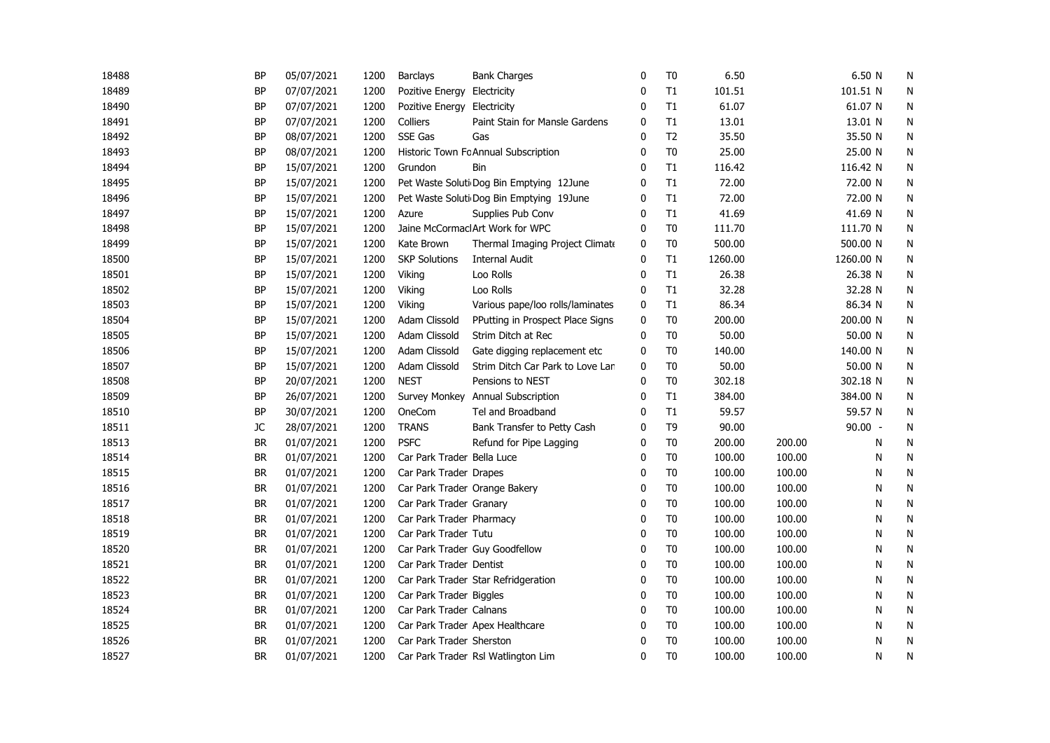| 18488 | BP        | 05/07/2021 | 1200 | Barclays                    | <b>Bank Charges</b>                      | 0            | T <sub>0</sub> | 6.50    |        | 6.50 N    | N         |
|-------|-----------|------------|------|-----------------------------|------------------------------------------|--------------|----------------|---------|--------|-----------|-----------|
| 18489 | <b>BP</b> | 07/07/2021 | 1200 | Pozitive Energy Electricity |                                          | 0            | T1             | 101.51  |        | 101.51 N  | N         |
| 18490 | <b>BP</b> | 07/07/2021 | 1200 | Pozitive Energy Electricity |                                          | 0            | T1             | 61.07   |        | 61.07 N   | N         |
| 18491 | <b>BP</b> | 07/07/2021 | 1200 | <b>Colliers</b>             | Paint Stain for Mansle Gardens           | $\mathbf{0}$ | T1             | 13.01   |        | 13.01 N   | ${\sf N}$ |
| 18492 | <b>BP</b> | 08/07/2021 | 1200 | SSE Gas                     | Gas                                      | $\Omega$     | T <sub>2</sub> | 35.50   |        | 35.50 N   | N         |
| 18493 | <b>BP</b> | 08/07/2021 | 1200 |                             | Historic Town Fc Annual Subscription     | $\Omega$     | T <sub>0</sub> | 25.00   |        | 25.00 N   | N         |
| 18494 | <b>BP</b> | 15/07/2021 | 1200 | Grundon                     | Bin                                      | $\Omega$     | T1             | 116.42  |        | 116.42 N  | N         |
| 18495 | <b>BP</b> | 15/07/2021 | 1200 |                             | Pet Waste Soluti Dog Bin Emptying 12June | 0            | T1             | 72.00   |        | 72.00 N   | N         |
| 18496 | BP        | 15/07/2021 | 1200 |                             | Pet Waste Soluti Dog Bin Emptying 19June | 0            | T1             | 72.00   |        | 72.00 N   | N         |
| 18497 | <b>BP</b> | 15/07/2021 | 1200 | Azure                       | Supplies Pub Conv                        | 0            | T1             | 41.69   |        | 41.69 N   | ${\sf N}$ |
| 18498 | <b>BP</b> | 15/07/2021 | 1200 |                             | Jaine McCormaclArt Work for WPC          | 0            | T <sub>0</sub> | 111.70  |        | 111.70 N  | N         |
| 18499 | <b>BP</b> | 15/07/2021 | 1200 | Kate Brown                  | Thermal Imaging Project Climate          | 0            | T <sub>0</sub> | 500.00  |        | 500.00 N  | N         |
| 18500 | <b>BP</b> | 15/07/2021 | 1200 | <b>SKP Solutions</b>        | <b>Internal Audit</b>                    | 0            | T1             | 1260.00 |        | 1260.00 N | N         |
| 18501 | <b>BP</b> | 15/07/2021 | 1200 | Viking                      | Loo Rolls                                | 0            | T1             | 26.38   |        | 26.38 N   | N         |
| 18502 | BP        | 15/07/2021 | 1200 | Viking                      | Loo Rolls                                | 0            | T1             | 32.28   |        | 32.28 N   | N         |
| 18503 | <b>BP</b> | 15/07/2021 | 1200 | Viking                      | Various pape/loo rolls/laminates         | 0            | T1             | 86.34   |        | 86.34 N   | N         |
| 18504 | <b>BP</b> | 15/07/2021 | 1200 | Adam Clissold               | PPutting in Prospect Place Signs         | 0            | T <sub>0</sub> | 200.00  |        | 200.00 N  | N         |
| 18505 | <b>BP</b> | 15/07/2021 | 1200 | Adam Clissold               | Strim Ditch at Rec                       | $\Omega$     | T <sub>0</sub> | 50.00   |        | 50.00 N   | N         |
| 18506 | BP        | 15/07/2021 | 1200 | Adam Clissold               | Gate digging replacement etc             | 0            | T <sub>0</sub> | 140.00  |        | 140.00 N  | N         |
| 18507 | <b>BP</b> | 15/07/2021 | 1200 | Adam Clissold               | Strim Ditch Car Park to Love Lan         | 0            | T <sub>0</sub> | 50.00   |        | 50.00 N   | N         |
| 18508 | <b>BP</b> | 20/07/2021 | 1200 | <b>NEST</b>                 | Pensions to NEST                         | $\Omega$     | T <sub>0</sub> | 302.18  |        | 302.18 N  | N         |
| 18509 | BP        | 26/07/2021 | 1200 | <b>Survey Monkey</b>        | Annual Subscription                      | 0            | T1             | 384.00  |        | 384.00 N  | N         |
| 18510 | ΒP        | 30/07/2021 | 1200 | OneCom                      | Tel and Broadband                        | 0            | T1             | 59.57   |        | 59.57 N   | N         |
| 18511 | JC        | 28/07/2021 | 1200 | <b>TRANS</b>                | Bank Transfer to Petty Cash              | 0            | T <sub>9</sub> | 90.00   |        | $90.00 -$ | N         |
| 18513 | <b>BR</b> | 01/07/2021 | 1200 | <b>PSFC</b>                 | Refund for Pipe Lagging                  | 0            | T <sub>0</sub> | 200.00  | 200.00 | N         | N         |
| 18514 | BR        | 01/07/2021 | 1200 | Car Park Trader Bella Luce  |                                          | 0            | T <sub>0</sub> | 100.00  | 100.00 | N         | N         |
| 18515 | <b>BR</b> | 01/07/2021 | 1200 | Car Park Trader Drapes      |                                          | 0            | T <sub>0</sub> | 100.00  | 100.00 | N         | N         |
| 18516 | BR        | 01/07/2021 | 1200 |                             | Car Park Trader Orange Bakery            | 0            | T <sub>0</sub> | 100.00  | 100.00 | N         | N         |
| 18517 | BR        | 01/07/2021 | 1200 | Car Park Trader Granary     |                                          | 0            | T <sub>0</sub> | 100.00  | 100.00 | N         | N         |
| 18518 | <b>BR</b> | 01/07/2021 | 1200 | Car Park Trader Pharmacy    |                                          | $\Omega$     | T <sub>0</sub> | 100.00  | 100.00 | N         | N         |
| 18519 | <b>BR</b> | 01/07/2021 | 1200 | Car Park Trader Tutu        |                                          | $\mathbf{0}$ | T <sub>0</sub> | 100.00  | 100.00 | N         | N         |
| 18520 | BR        | 01/07/2021 | 1200 |                             | Car Park Trader Guy Goodfellow           | $\Omega$     | T <sub>0</sub> | 100.00  | 100.00 | N         | N         |
| 18521 | <b>BR</b> | 01/07/2021 | 1200 | Car Park Trader Dentist     |                                          | $\mathbf{0}$ | T <sub>0</sub> | 100.00  | 100.00 | N         | N         |
| 18522 | <b>BR</b> | 01/07/2021 | 1200 |                             | Car Park Trader Star Refridgeration      | 0            | T <sub>0</sub> | 100.00  | 100.00 | N         | N         |
| 18523 | BR        | 01/07/2021 | 1200 | Car Park Trader Biggles     |                                          | 0            | T <sub>0</sub> | 100.00  | 100.00 | N         | N         |
| 18524 | BR        | 01/07/2021 | 1200 | Car Park Trader Calnans     |                                          | 0            | T <sub>0</sub> | 100.00  | 100.00 | N         | N         |
| 18525 | <b>BR</b> | 01/07/2021 | 1200 |                             | Car Park Trader Apex Healthcare          | 0            | T <sub>0</sub> | 100.00  | 100.00 | N         | N         |
| 18526 | <b>BR</b> | 01/07/2021 | 1200 | Car Park Trader Sherston    |                                          | 0            | T <sub>0</sub> | 100.00  | 100.00 | N         | N         |
| 18527 | <b>BR</b> | 01/07/2021 | 1200 |                             | Car Park Trader Rsl Watlington Lim       | $\mathbf{0}$ | T <sub>0</sub> | 100.00  | 100.00 | N         | N         |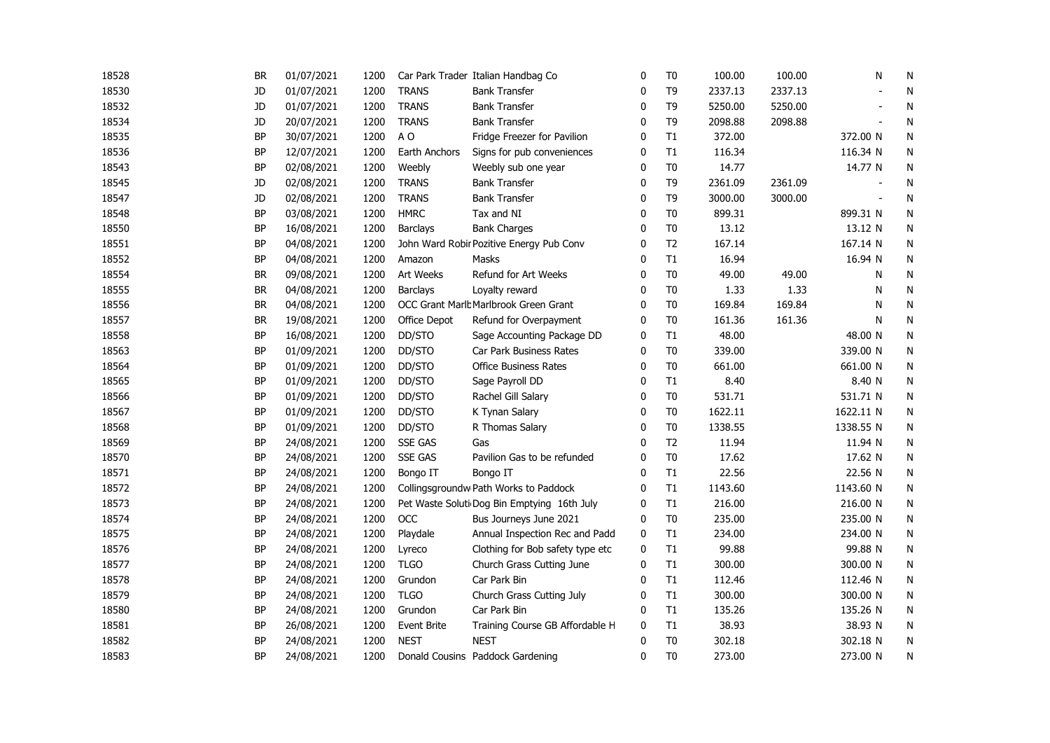| 18528 | <b>BR</b> | 01/07/2021 | 1200 |                    | Car Park Trader Italian Handbag Co          | $\mathbf 0$  | T <sub>0</sub> | 100.00  | 100.00  | N                        | N         |
|-------|-----------|------------|------|--------------------|---------------------------------------------|--------------|----------------|---------|---------|--------------------------|-----------|
| 18530 | JD        | 01/07/2021 | 1200 | <b>TRANS</b>       | <b>Bank Transfer</b>                        | 0            | T <sub>9</sub> | 2337.13 | 2337.13 |                          | N         |
| 18532 | JD        | 01/07/2021 | 1200 | <b>TRANS</b>       | <b>Bank Transfer</b>                        | 0            | T <sub>9</sub> | 5250.00 | 5250.00 |                          | N         |
| 18534 | JD        | 20/07/2021 | 1200 | <b>TRANS</b>       | <b>Bank Transfer</b>                        | $\Omega$     | T9             | 2098.88 | 2098.88 | $\overline{\phantom{a}}$ | N         |
| 18535 | <b>BP</b> | 30/07/2021 | 1200 | A <sub>O</sub>     | Fridge Freezer for Pavilion                 | $\mathbf{0}$ | T1             | 372.00  |         | 372.00 N                 | ${\sf N}$ |
| 18536 | <b>BP</b> | 12/07/2021 | 1200 | Earth Anchors      | Signs for pub conveniences                  | $\mathbf 0$  | T1             | 116.34  |         | 116.34 N                 | N         |
| 18543 | <b>BP</b> | 02/08/2021 | 1200 | Weebly             | Weebly sub one year                         | $\mathbf{0}$ | T <sub>0</sub> | 14.77   |         | 14.77 N                  | N         |
| 18545 | JD        | 02/08/2021 | 1200 | <b>TRANS</b>       | <b>Bank Transfer</b>                        | 0            | T <sub>9</sub> | 2361.09 | 2361.09 |                          | N         |
| 18547 | JD        | 02/08/2021 | 1200 | <b>TRANS</b>       | <b>Bank Transfer</b>                        | $\mathbf{0}$ | T <sub>9</sub> | 3000.00 | 3000.00 |                          | N         |
| 18548 | BP        | 03/08/2021 | 1200 | <b>HMRC</b>        | Tax and NI                                  | 0            | T <sub>0</sub> | 899.31  |         | 899.31 N                 | N         |
| 18550 | BP        | 16/08/2021 | 1200 | Barclays           | <b>Bank Charges</b>                         | 0            | T <sub>0</sub> | 13.12   |         | 13.12 N                  | N         |
| 18551 | <b>BP</b> | 04/08/2021 | 1200 |                    | John Ward Robir Pozitive Energy Pub Conv    | 0            | T <sub>2</sub> | 167.14  |         | 167.14 N                 | N         |
| 18552 | <b>BP</b> | 04/08/2021 | 1200 | Amazon             | Masks                                       | 0            | T1             | 16.94   |         | 16.94 N                  | ${\sf N}$ |
| 18554 | <b>BR</b> | 09/08/2021 | 1200 | Art Weeks          | Refund for Art Weeks                        | $\mathbf 0$  | T <sub>0</sub> | 49.00   | 49.00   | N                        | N         |
| 18555 | <b>BR</b> | 04/08/2021 | 1200 | Barclays           | Loyalty reward                              | 0            | T <sub>0</sub> | 1.33    | 1.33    | N                        | N         |
| 18556 | BR        | 04/08/2021 | 1200 |                    | OCC Grant Marlb Marlbrook Green Grant       | 0            | T <sub>0</sub> | 169.84  | 169.84  | N                        | N         |
| 18557 | <b>BR</b> | 19/08/2021 | 1200 | Office Depot       | Refund for Overpayment                      | 0            | T <sub>0</sub> | 161.36  | 161.36  | N                        | N         |
| 18558 | <b>BP</b> | 16/08/2021 | 1200 | DD/STO             | Sage Accounting Package DD                  | 0            | T1             | 48.00   |         | 48.00 N                  | N         |
| 18563 | BP        | 01/09/2021 | 1200 | DD/STO             | Car Park Business Rates                     | 0            | T <sub>0</sub> | 339.00  |         | 339.00 N                 | N         |
| 18564 | BP        | 01/09/2021 | 1200 | DD/STO             | <b>Office Business Rates</b>                | 0            | T <sub>0</sub> | 661.00  |         | 661.00 N                 | N         |
| 18565 | <b>BP</b> | 01/09/2021 | 1200 | DD/STO             | Sage Payroll DD                             | $\mathbf{0}$ | T1             | 8.40    |         | 8.40 N                   | N         |
| 18566 | <b>BP</b> | 01/09/2021 | 1200 | DD/STO             | Rachel Gill Salary                          | $\mathbf{0}$ | T <sub>0</sub> | 531.71  |         | 531.71 N                 | N         |
| 18567 | BP        | 01/09/2021 | 1200 | DD/STO             | K Tynan Salary                              | $\mathbf{0}$ | T <sub>0</sub> | 1622.11 |         | 1622.11 N                | N         |
| 18568 | BP        | 01/09/2021 | 1200 | DD/STO             | R Thomas Salary                             | 0            | T <sub>0</sub> | 1338.55 |         | 1338.55 N                | N         |
| 18569 | <b>BP</b> | 24/08/2021 | 1200 | <b>SSE GAS</b>     | Gas                                         | 0            | T <sub>2</sub> | 11.94   |         | 11.94 N                  | N         |
| 18570 | BP        | 24/08/2021 | 1200 | <b>SSE GAS</b>     | Pavilion Gas to be refunded                 | 0            | T <sub>0</sub> | 17.62   |         | 17.62 N                  | N         |
| 18571 | <b>BP</b> | 24/08/2021 | 1200 | Bongo IT           | Bongo IT                                    | $\mathbf 0$  | T1             | 22.56   |         | 22.56 N                  | N         |
| 18572 | BP        | 24/08/2021 | 1200 |                    | Collingsgroundw Path Works to Paddock       | 0            | T1             | 1143.60 |         | 1143.60 N                | N         |
| 18573 | <b>BP</b> | 24/08/2021 | 1200 |                    | Pet Waste Soluti Dog Bin Emptying 16th July | $\mathbf{0}$ | T1             | 216.00  |         | 216.00 N                 | N         |
| 18574 | <b>BP</b> | 24/08/2021 | 1200 | OCC                | Bus Journeys June 2021                      | $\mathbf{0}$ | T <sub>0</sub> | 235.00  |         | 235.00 N                 | N         |
| 18575 | <b>BP</b> | 24/08/2021 | 1200 | Playdale           | Annual Inspection Rec and Padd              | 0            | T1             | 234.00  |         | 234.00 N                 | N         |
| 18576 | <b>BP</b> | 24/08/2021 | 1200 | Lyreco             | Clothing for Bob safety type etc            | 0            | T1             | 99.88   |         | 99.88 N                  | N         |
| 18577 | <b>BP</b> | 24/08/2021 | 1200 | <b>TLGO</b>        | Church Grass Cutting June                   | 0            | T1             | 300.00  |         | 300.00 N                 | N         |
| 18578 | <b>BP</b> | 24/08/2021 | 1200 | Grundon            | Car Park Bin                                | 0            | T1             | 112.46  |         | 112.46 N                 | N         |
| 18579 | BP        | 24/08/2021 | 1200 | <b>TLGO</b>        | Church Grass Cutting July                   | 0            | T1             | 300.00  |         | 300.00 N                 | N         |
| 18580 | <b>BP</b> | 24/08/2021 | 1200 | Grundon            | Car Park Bin                                | $\mathbf{0}$ | T1             | 135.26  |         | 135.26 N                 | N         |
| 18581 | <b>BP</b> | 26/08/2021 | 1200 | <b>Event Brite</b> | Training Course GB Affordable H             | $\mathbf 0$  | T1             | 38.93   |         | 38.93 N                  | ${\sf N}$ |
| 18582 | <b>BP</b> | 24/08/2021 | 1200 | <b>NEST</b>        | <b>NEST</b>                                 | $\mathbf 0$  | T <sub>0</sub> | 302.18  |         | 302.18 N                 | N         |
| 18583 | <b>BP</b> | 24/08/2021 | 1200 |                    | Donald Cousins Paddock Gardening            | $\mathbf{0}$ | T <sub>0</sub> | 273.00  |         | 273.00 N                 | N         |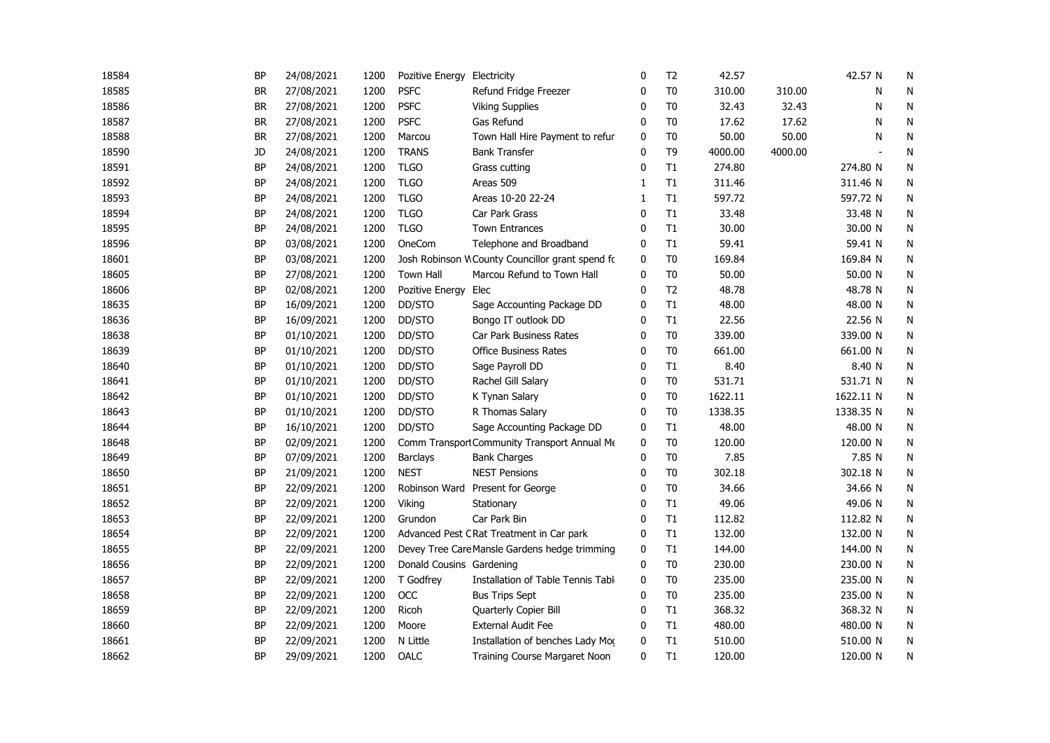| 18584 | <b>BP</b> | 24/08/2021 | 1200 | Pozitive Energy Electricity |                                                 | $\mathbf 0$  | T <sub>2</sub> | 42.57   |         | 42.57 N        | N |
|-------|-----------|------------|------|-----------------------------|-------------------------------------------------|--------------|----------------|---------|---------|----------------|---|
| 18585 | <b>BR</b> | 27/08/2021 | 1200 | <b>PSFC</b>                 | Refund Fridge Freezer                           | 0            | T <sub>0</sub> | 310.00  | 310.00  | N              | N |
| 18586 | BR        | 27/08/2021 | 1200 | <b>PSFC</b>                 | <b>Viking Supplies</b>                          | 0            | T <sub>0</sub> | 32.43   | 32.43   | N              | N |
| 18587 | <b>BR</b> | 27/08/2021 | 1200 | <b>PSFC</b>                 | Gas Refund                                      | 0            | T <sub>0</sub> | 17.62   | 17.62   | N              | N |
| 18588 | <b>BR</b> | 27/08/2021 | 1200 | Marcou                      | Town Hall Hire Payment to refur                 | 0            | T <sub>0</sub> | 50.00   | 50.00   | N              | N |
| 18590 | JD        | 24/08/2021 | 1200 | <b>TRANS</b>                | <b>Bank Transfer</b>                            | $\mathbf{0}$ | T <sub>9</sub> | 4000.00 | 4000.00 | $\blacksquare$ | N |
| 18591 | <b>BP</b> | 24/08/2021 | 1200 | <b>TLGO</b>                 | Grass cutting                                   | $\mathbf{0}$ | T1             | 274.80  |         | 274.80 N       | N |
| 18592 | BP        | 24/08/2021 | 1200 | <b>TLGO</b>                 | Areas 509                                       | 1            | T1             | 311.46  |         | 311.46 N       | N |
| 18593 | BP        | 24/08/2021 | 1200 | <b>TLGO</b>                 | Areas 10-20 22-24                               | $\mathbf{1}$ | T1             | 597.72  |         | 597.72 N       | N |
| 18594 | <b>BP</b> | 24/08/2021 | 1200 | <b>TLGO</b>                 | Car Park Grass                                  | 0            | T1             | 33.48   |         | 33.48 N        | N |
| 18595 | BP        | 24/08/2021 | 1200 | <b>TLGO</b>                 | <b>Town Entrances</b>                           | 0            | T1             | 30.00   |         | 30.00 N        | N |
| 18596 | BP        | 03/08/2021 | 1200 | OneCom                      | Telephone and Broadband                         | 0            | T1             | 59.41   |         | 59.41 N        | N |
| 18601 | <b>BP</b> | 03/08/2021 | 1200 |                             | Josh Robinson WCounty Councillor grant spend fc | 0            | T <sub>0</sub> | 169.84  |         | 169.84 N       | N |
| 18605 | <b>BP</b> | 27/08/2021 | 1200 | <b>Town Hall</b>            | Marcou Refund to Town Hall                      | 0            | T <sub>0</sub> | 50.00   |         | 50.00 N        | N |
| 18606 | ΒP        | 02/08/2021 | 1200 | Pozitive Energy Elec        |                                                 | 0            | T <sub>2</sub> | 48.78   |         | 48.78 N        | N |
| 18635 | <b>BP</b> | 16/09/2021 | 1200 | DD/STO                      | Sage Accounting Package DD                      | 0            | T1             | 48.00   |         | 48.00 N        | N |
| 18636 | <b>BP</b> | 16/09/2021 | 1200 | DD/STO                      | Bongo IT outlook DD                             | $\mathbf{0}$ | T1             | 22.56   |         | 22.56 N        | N |
| 18638 | <b>BP</b> | 01/10/2021 | 1200 | DD/STO                      | Car Park Business Rates                         | $\mathbf{0}$ | T <sub>0</sub> | 339.00  |         | 339.00 N       | N |
| 18639 | <b>BP</b> | 01/10/2021 | 1200 | DD/STO                      | <b>Office Business Rates</b>                    | $\mathbf{0}$ | T <sub>0</sub> | 661.00  |         | 661.00 N       | N |
| 18640 | <b>BP</b> | 01/10/2021 | 1200 | DD/STO                      | Sage Payroll DD                                 | $\mathbf{0}$ | T1             | 8.40    |         | 8.40 N         | N |
| 18641 | <b>BP</b> | 01/10/2021 | 1200 | DD/STO                      | Rachel Gill Salary                              | 0            | T <sub>0</sub> | 531.71  |         | 531.71 N       | N |
| 18642 | BP        | 01/10/2021 | 1200 | DD/STO                      | K Tynan Salary                                  | 0            | T <sub>0</sub> | 1622.11 |         | 1622.11 N      | N |
| 18643 | BP        | 01/10/2021 | 1200 | DD/STO                      | R Thomas Salary                                 | 0            | T <sub>0</sub> | 1338.35 |         | 1338.35 N      | N |
| 18644 | BP        | 16/10/2021 | 1200 | DD/STO                      | Sage Accounting Package DD                      | 0            | T1             | 48.00   |         | 48.00 N        | N |
| 18648 | <b>BP</b> | 02/09/2021 | 1200 |                             | Comm Transport Community Transport Annual Me    | 0            | T <sub>0</sub> | 120.00  |         | 120.00 N       | N |
| 18649 | <b>BP</b> | 07/09/2021 | 1200 | <b>Barclays</b>             | <b>Bank Charges</b>                             | 0            | T <sub>0</sub> | 7.85    |         | 7.85 N         | N |
| 18650 | <b>BP</b> | 21/09/2021 | 1200 | <b>NEST</b>                 | <b>NEST Pensions</b>                            | 0            | T <sub>0</sub> | 302.18  |         | 302.18 N       | N |
| 18651 | <b>BP</b> | 22/09/2021 | 1200 |                             | Robinson Ward Present for George                | 0            | T <sub>0</sub> | 34.66   |         | 34.66 N        | N |
| 18652 | <b>BP</b> | 22/09/2021 | 1200 | Viking                      | Stationary                                      | $\mathbf{0}$ | T1             | 49.06   |         | 49.06 N        | N |
| 18653 | <b>BP</b> | 22/09/2021 | 1200 | Grundon                     | Car Park Bin                                    | $\Omega$     | T1             | 112.82  |         | 112.82 N       | N |
| 18654 | <b>BP</b> | 22/09/2021 | 1200 |                             | Advanced Pest CRat Treatment in Car park        | 0            | T1             | 132.00  |         | 132.00 N       | N |
| 18655 | BP        | 22/09/2021 | 1200 |                             | Devey Tree Care Mansle Gardens hedge trimming   | 0            | T1             | 144.00  |         | 144.00 N       | N |
| 18656 | BP        | 22/09/2021 | 1200 | Donald Cousins Gardening    |                                                 | 0            | T <sub>0</sub> | 230.00  |         | 230.00 N       | N |
| 18657 | <b>BP</b> | 22/09/2021 | 1200 | T Godfrey                   | Installation of Table Tennis Tabl               | 0            | T <sub>0</sub> | 235.00  |         | 235.00 N       | N |
| 18658 | ΒP        | 22/09/2021 | 1200 | OCC                         | <b>Bus Trips Sept</b>                           | $\mathbf{0}$ | T <sub>0</sub> | 235.00  |         | 235.00 N       | N |
| 18659 | <b>BP</b> | 22/09/2021 | 1200 | Ricoh                       | Quarterly Copier Bill                           | 0            | T1             | 368.32  |         | 368.32 N       | N |
| 18660 | BP        | 22/09/2021 | 1200 | Moore                       | <b>External Audit Fee</b>                       | 0            | T1             | 480.00  |         | 480.00 N       | N |
| 18661 | <b>BP</b> | 22/09/2021 | 1200 | N Little                    | Installation of benches Lady Mog                | 0            | T1             | 510.00  |         | 510.00 N       | N |
| 18662 | <b>BP</b> | 29/09/2021 | 1200 | OALC                        | <b>Training Course Margaret Noon</b>            | 0            | T1             | 120.00  |         | 120.00 N       | N |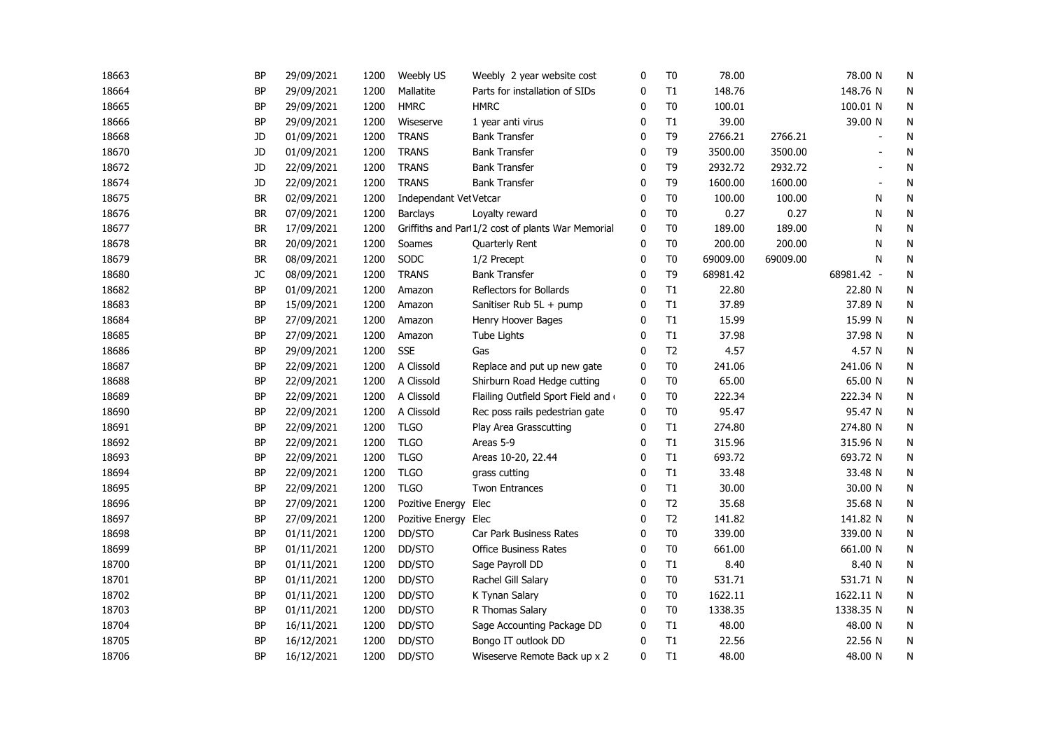| 18663 | <b>BP</b> | 29/09/2021 | 1200 | Weebly US              | Weebly 2 year website cost                        | $\mathbf 0$  | T <sub>0</sub> | 78.00    |          | 78.00 N    | N |
|-------|-----------|------------|------|------------------------|---------------------------------------------------|--------------|----------------|----------|----------|------------|---|
| 18664 | <b>BP</b> | 29/09/2021 | 1200 | Mallatite              | Parts for installation of SIDs                    | 0            | T1             | 148.76   |          | 148.76 N   | N |
| 18665 | <b>BP</b> | 29/09/2021 | 1200 | <b>HMRC</b>            | <b>HMRC</b>                                       | 0            | T <sub>0</sub> | 100.01   |          | 100.01 N   | N |
| 18666 | <b>BP</b> | 29/09/2021 | 1200 | Wiseserve              | 1 year anti virus                                 | 0            | T1             | 39.00    |          | 39.00 N    | N |
| 18668 | JD        | 01/09/2021 | 1200 | <b>TRANS</b>           | <b>Bank Transfer</b>                              | 0            | T <sub>9</sub> | 2766.21  | 2766.21  |            | N |
| 18670 | JD        | 01/09/2021 | 1200 | <b>TRANS</b>           | <b>Bank Transfer</b>                              | $\mathbf{0}$ | T <sub>9</sub> | 3500.00  | 3500.00  |            | N |
| 18672 | JD        | 22/09/2021 | 1200 | <b>TRANS</b>           | <b>Bank Transfer</b>                              | $\mathbf{0}$ | T <sub>9</sub> | 2932.72  | 2932.72  |            | N |
| 18674 | JD        | 22/09/2021 | 1200 | <b>TRANS</b>           | <b>Bank Transfer</b>                              | 0            | T <sub>9</sub> | 1600.00  | 1600.00  |            | N |
| 18675 | <b>BR</b> | 02/09/2021 | 1200 | Independant Vet Vetcar |                                                   | $\mathbf{0}$ | T <sub>0</sub> | 100.00   | 100.00   | N          | N |
| 18676 | <b>BR</b> | 07/09/2021 | 1200 | <b>Barclays</b>        | Loyalty reward                                    | 0            | T <sub>0</sub> | 0.27     | 0.27     | N          | N |
| 18677 | BR        | 17/09/2021 | 1200 |                        | Griffiths and Parl1/2 cost of plants War Memorial | 0            | T <sub>0</sub> | 189.00   | 189.00   | N          | N |
| 18678 | BR        | 20/09/2021 | 1200 | Soames                 | Quarterly Rent                                    | 0            | T <sub>0</sub> | 200.00   | 200.00   | N          | N |
| 18679 | <b>BR</b> | 08/09/2021 | 1200 | SODC                   | 1/2 Precept                                       | 0            | T <sub>0</sub> | 69009.00 | 69009.00 | N          | N |
| 18680 | JC        | 08/09/2021 | 1200 | <b>TRANS</b>           | <b>Bank Transfer</b>                              | 0            | T9             | 68981.42 |          | 68981.42 - | N |
| 18682 | <b>BP</b> | 01/09/2021 | 1200 | Amazon                 | Reflectors for Bollards                           | $\mathbf{0}$ | T1             | 22.80    |          | 22.80 N    | N |
| 18683 | <b>BP</b> | 15/09/2021 | 1200 | Amazon                 | Sanitiser Rub 5L + pump                           | $\mathbf{0}$ | T1             | 37.89    |          | 37.89 N    | N |
| 18684 | <b>BP</b> | 27/09/2021 | 1200 | Amazon                 | Henry Hoover Bages                                | $\mathbf{0}$ | T1             | 15.99    |          | 15.99 N    | N |
| 18685 | <b>BP</b> | 27/09/2021 | 1200 | Amazon                 | Tube Lights                                       | $\mathbf{0}$ | T1             | 37.98    |          | 37.98 N    | N |
| 18686 | <b>BP</b> | 29/09/2021 | 1200 | <b>SSE</b>             | Gas                                               | $\mathbf{0}$ | T <sub>2</sub> | 4.57     |          | 4.57 N     | N |
| 18687 | <b>BP</b> | 22/09/2021 | 1200 | A Clissold             | Replace and put up new gate                       | 0            | T <sub>0</sub> | 241.06   |          | 241.06 N   | N |
| 18688 | <b>BP</b> | 22/09/2021 | 1200 | A Clissold             | Shirburn Road Hedge cutting                       | 0            | T <sub>0</sub> | 65.00    |          | 65.00 N    | N |
| 18689 | <b>BP</b> | 22/09/2021 | 1200 | A Clissold             | Flailing Outfield Sport Field and                 | 0            | T <sub>0</sub> | 222.34   |          | 222.34 N   | N |
| 18690 | <b>BP</b> | 22/09/2021 | 1200 | A Clissold             | Rec poss rails pedestrian gate                    | 0            | T <sub>0</sub> | 95.47    |          | 95.47 N    | N |
| 18691 | BP        | 22/09/2021 | 1200 | <b>TLGO</b>            | Play Area Grasscutting                            | 0            | T1             | 274.80   |          | 274.80 N   | N |
| 18692 | <b>BP</b> | 22/09/2021 | 1200 | <b>TLGO</b>            | Areas 5-9                                         | 0            | T1             | 315.96   |          | 315.96 N   | N |
| 18693 | <b>BP</b> | 22/09/2021 | 1200 | <b>TLGO</b>            | Areas 10-20, 22.44                                | $\mathbf 0$  | T1             | 693.72   |          | 693.72 N   | N |
| 18694 | <b>BP</b> | 22/09/2021 | 1200 | <b>TLGO</b>            | grass cutting                                     | 0            | T1             | 33.48    |          | 33.48 N    | N |
| 18695 | <b>BP</b> | 22/09/2021 | 1200 | <b>TLGO</b>            | <b>Twon Entrances</b>                             | 0            | T1             | 30.00    |          | 30.00 N    | N |
| 18696 | <b>BP</b> | 27/09/2021 | 1200 | Pozitive Energy        | Elec                                              | $\mathbf{0}$ | T <sub>2</sub> | 35.68    |          | 35.68 N    | N |
| 18697 | <b>BP</b> | 27/09/2021 | 1200 | Pozitive Energy Elec   |                                                   | $\mathbf{0}$ | T <sub>2</sub> | 141.82   |          | 141.82 N   | N |
| 18698 | <b>BP</b> | 01/11/2021 | 1200 | DD/STO                 | Car Park Business Rates                           | $\mathbf 0$  | T <sub>0</sub> | 339.00   |          | 339.00 N   | N |
| 18699 | <b>BP</b> | 01/11/2021 | 1200 | DD/STO                 | <b>Office Business Rates</b>                      | 0            | T <sub>0</sub> | 661.00   |          | 661.00 N   | N |
| 18700 | BP        | 01/11/2021 | 1200 | DD/STO                 | Sage Payroll DD                                   | 0            | T1             | 8.40     |          | 8.40 N     | N |
| 18701 | BP        | 01/11/2021 | 1200 | DD/STO                 | Rachel Gill Salary                                | 0            | T <sub>0</sub> | 531.71   |          | 531.71 N   | N |
| 18702 | <b>BP</b> | 01/11/2021 | 1200 | DD/STO                 | K Tynan Salary                                    | $\mathbf{0}$ | T <sub>0</sub> | 1622.11  |          | 1622.11 N  | N |
| 18703 | <b>BP</b> | 01/11/2021 | 1200 | DD/STO                 | R Thomas Salary                                   | 0            | T <sub>0</sub> | 1338.35  |          | 1338.35 N  | N |
| 18704 | <b>BP</b> | 16/11/2021 | 1200 | DD/STO                 | Sage Accounting Package DD                        | $\mathbf 0$  | T1             | 48.00    |          | 48.00 N    | N |
| 18705 | <b>BP</b> | 16/12/2021 | 1200 | DD/STO                 | Bongo IT outlook DD                               | $\mathbf 0$  | T1             | 22.56    |          | 22.56 N    | N |
| 18706 | <b>BP</b> | 16/12/2021 | 1200 | DD/STO                 | Wiseserve Remote Back up x 2                      | 0            | T1             | 48.00    |          | 48.00 N    | Ν |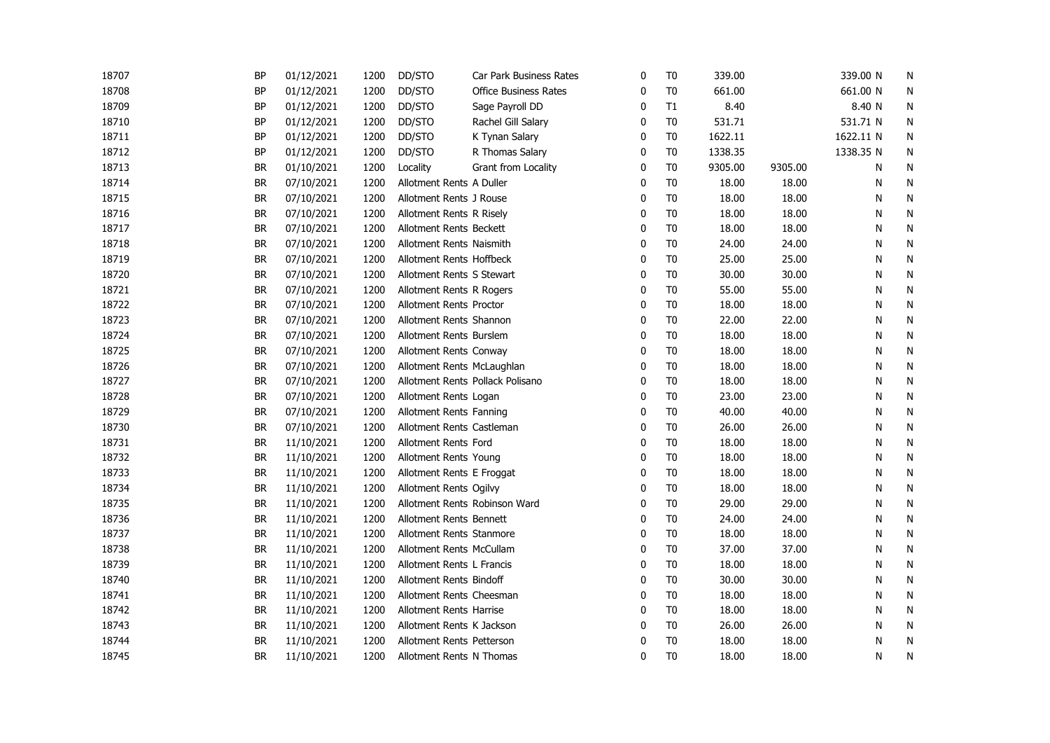| 18707 | <b>BP</b> | 01/12/2021 | 1200 | DD/STO                        | Car Park Business Rates          | 0            | T <sub>0</sub> | 339.00  |         | 339.00 N  | N         |
|-------|-----------|------------|------|-------------------------------|----------------------------------|--------------|----------------|---------|---------|-----------|-----------|
| 18708 | <b>BP</b> | 01/12/2021 | 1200 | DD/STO                        | <b>Office Business Rates</b>     | 0            | T <sub>0</sub> | 661.00  |         | 661.00 N  | N         |
| 18709 | BP        | 01/12/2021 | 1200 | DD/STO                        | Sage Payroll DD                  | 0            | T1             | 8.40    |         | 8.40 N    | N         |
| 18710 | <b>BP</b> | 01/12/2021 | 1200 | DD/STO                        | Rachel Gill Salary               | 0            | T <sub>0</sub> | 531.71  |         | 531.71 N  | N         |
| 18711 | <b>BP</b> | 01/12/2021 | 1200 | DD/STO                        | K Tynan Salary                   | 0            | T <sub>0</sub> | 1622.11 |         | 1622.11 N | N         |
| 18712 | BP        | 01/12/2021 | 1200 | DD/STO                        | R Thomas Salary                  | $\mathbf{0}$ | T <sub>0</sub> | 1338.35 |         | 1338.35 N | N         |
| 18713 | <b>BR</b> | 01/10/2021 | 1200 | Locality                      | Grant from Locality              | $\mathbf{0}$ | T <sub>0</sub> | 9305.00 | 9305.00 | N         | ${\sf N}$ |
| 18714 | <b>BR</b> | 07/10/2021 | 1200 | Allotment Rents A Duller      |                                  | $\Omega$     | T <sub>0</sub> | 18.00   | 18.00   | N         | N         |
| 18715 | <b>BR</b> | 07/10/2021 | 1200 | Allotment Rents J Rouse       |                                  | $\Omega$     | T <sub>0</sub> | 18.00   | 18.00   | N         | N         |
| 18716 | <b>BR</b> | 07/10/2021 | 1200 | Allotment Rents R Risely      |                                  | 0            | T <sub>0</sub> | 18.00   | 18.00   | N         | N         |
| 18717 | <b>BR</b> | 07/10/2021 | 1200 | Allotment Rents Beckett       |                                  | 0            | T <sub>0</sub> | 18.00   | 18.00   | N         | N         |
| 18718 | <b>BR</b> | 07/10/2021 | 1200 | Allotment Rents Naismith      |                                  | 0            | T <sub>0</sub> | 24.00   | 24.00   | Ν         | N         |
| 18719 | <b>BR</b> | 07/10/2021 | 1200 | Allotment Rents Hoffbeck      |                                  | 0            | T <sub>0</sub> | 25.00   | 25.00   | Ν         | N         |
| 18720 | BR        | 07/10/2021 | 1200 | Allotment Rents S Stewart     |                                  | 0            | T <sub>0</sub> | 30.00   | 30.00   | N         | N         |
| 18721 | BR        | 07/10/2021 | 1200 | Allotment Rents R Rogers      |                                  | 0            | T <sub>0</sub> | 55.00   | 55.00   | Ν         | N         |
| 18722 | <b>BR</b> | 07/10/2021 | 1200 | Allotment Rents Proctor       |                                  | $\mathbf{0}$ | T <sub>0</sub> | 18.00   | 18.00   | N         | N         |
| 18723 | <b>BR</b> | 07/10/2021 | 1200 | Allotment Rents Shannon       |                                  | $\mathbf{0}$ | T <sub>0</sub> | 22.00   | 22.00   | N         | N         |
| 18724 | <b>BR</b> | 07/10/2021 | 1200 | Allotment Rents Burslem       |                                  | $\Omega$     | T <sub>0</sub> | 18.00   | 18.00   | N         | N         |
| 18725 | BR        | 07/10/2021 | 1200 | Allotment Rents Conway        |                                  | $\Omega$     | T <sub>0</sub> | 18.00   | 18.00   | N         | N         |
| 18726 | BR        | 07/10/2021 | 1200 | Allotment Rents McLaughlan    |                                  | $\mathbf{0}$ | T <sub>0</sub> | 18.00   | 18.00   | N         | N         |
| 18727 | <b>BR</b> | 07/10/2021 | 1200 |                               | Allotment Rents Pollack Polisano | 0            | T <sub>0</sub> | 18.00   | 18.00   | N         | N         |
| 18728 | <b>BR</b> | 07/10/2021 | 1200 | Allotment Rents Logan         |                                  | 0            | T <sub>0</sub> | 23.00   | 23.00   | N         | N         |
| 18729 | <b>BR</b> | 07/10/2021 | 1200 | Allotment Rents Fanning       |                                  | 0            | T <sub>0</sub> | 40.00   | 40.00   | Ν         | N         |
| 18730 | <b>BR</b> | 07/10/2021 | 1200 | Allotment Rents Castleman     |                                  | 0            | T <sub>0</sub> | 26.00   | 26.00   | N         | N         |
| 18731 | <b>BR</b> | 11/10/2021 | 1200 | Allotment Rents Ford          |                                  | 0            | T <sub>0</sub> | 18.00   | 18.00   | N         | N         |
| 18732 | <b>BR</b> | 11/10/2021 | 1200 | Allotment Rents Young         |                                  | 0            | T <sub>0</sub> | 18.00   | 18.00   | N         | N         |
| 18733 | <b>BR</b> | 11/10/2021 | 1200 | Allotment Rents E Froggat     |                                  | 0            | T <sub>0</sub> | 18.00   | 18.00   | N         | N         |
| 18734 | <b>BR</b> | 11/10/2021 | 1200 | Allotment Rents Ogilvy        |                                  | $\Omega$     | T <sub>0</sub> | 18.00   | 18.00   | N         | N         |
| 18735 | BR        | 11/10/2021 | 1200 | Allotment Rents Robinson Ward |                                  | $\mathbf{0}$ | T <sub>0</sub> | 29.00   | 29.00   | N         | N         |
| 18736 | <b>BR</b> | 11/10/2021 | 1200 | Allotment Rents Bennett       |                                  | $\Omega$     | T <sub>0</sub> | 24.00   | 24.00   | N         | N         |
| 18737 | <b>BR</b> | 11/10/2021 | 1200 | Allotment Rents Stanmore      |                                  | 0            | T <sub>0</sub> | 18.00   | 18.00   | Ν         | N         |
| 18738 | BR        | 11/10/2021 | 1200 | Allotment Rents McCullam      |                                  | $\mathbf{0}$ | T <sub>0</sub> | 37.00   | 37.00   | Ν         | N         |
| 18739 | <b>BR</b> | 11/10/2021 | 1200 | Allotment Rents L Francis     |                                  | $\Omega$     | T <sub>0</sub> | 18.00   | 18.00   | Ν         | N         |
| 18740 | <b>BR</b> | 11/10/2021 | 1200 | Allotment Rents Bindoff       |                                  | 0            | T <sub>0</sub> | 30.00   | 30.00   | N         | N         |
| 18741 | <b>BR</b> | 11/10/2021 | 1200 | Allotment Rents Cheesman      |                                  | $\Omega$     | T <sub>0</sub> | 18.00   | 18.00   | N         | N         |
| 18742 | <b>BR</b> | 11/10/2021 | 1200 | Allotment Rents Harrise       |                                  | $\Omega$     | T <sub>0</sub> | 18.00   | 18.00   | N         | N         |
| 18743 | <b>BR</b> | 11/10/2021 | 1200 | Allotment Rents K Jackson     |                                  | 0            | T <sub>0</sub> | 26.00   | 26.00   | N         | N         |
| 18744 | BR        | 11/10/2021 | 1200 | Allotment Rents Petterson     |                                  | 0            | T <sub>0</sub> | 18.00   | 18.00   | N         | N         |
| 18745 | <b>BR</b> | 11/10/2021 | 1200 | Allotment Rents N Thomas      |                                  | $\mathbf{0}$ | T <sub>0</sub> | 18.00   | 18.00   | N         | N         |
|       |           |            |      |                               |                                  |              |                |         |         |           |           |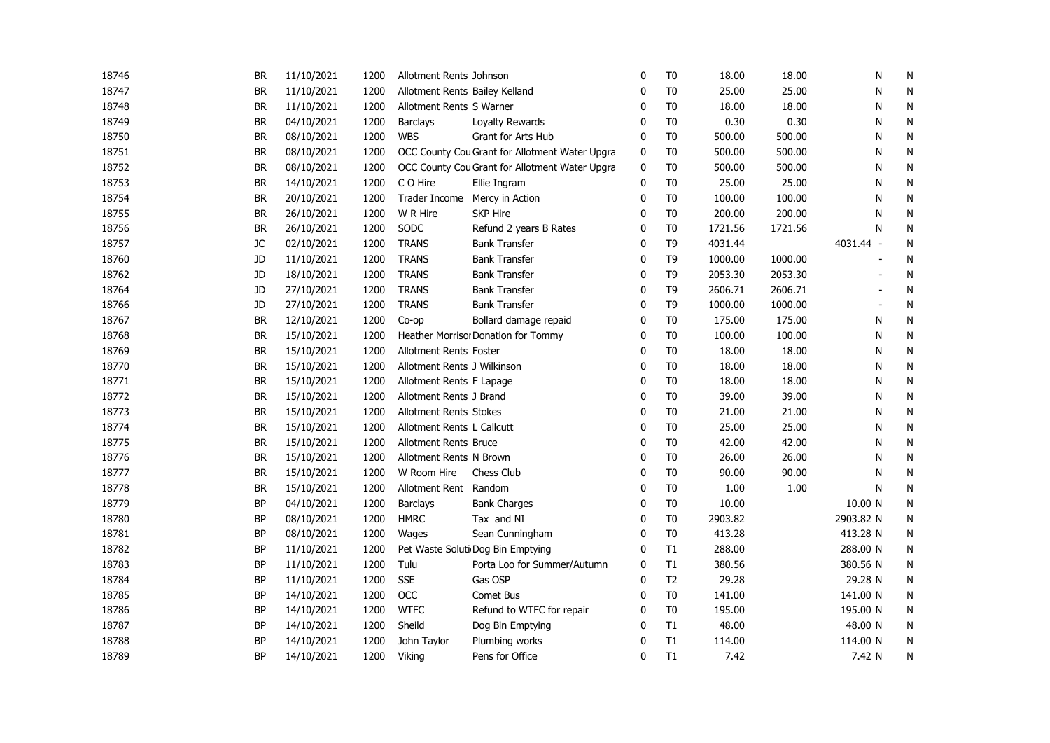| 18746 | BR        | 11/10/2021 | 1200 | Allotment Rents Johnson        |                                                | $\mathbf 0$  | T <sub>0</sub> | 18.00   | 18.00   | N         | N         |
|-------|-----------|------------|------|--------------------------------|------------------------------------------------|--------------|----------------|---------|---------|-----------|-----------|
| 18747 | <b>BR</b> | 11/10/2021 | 1200 | Allotment Rents Bailey Kelland |                                                | 0            | T <sub>0</sub> | 25.00   | 25.00   | N         | N         |
| 18748 | <b>BR</b> | 11/10/2021 | 1200 | Allotment Rents S Warner       |                                                | 0            | T <sub>0</sub> | 18.00   | 18.00   | N         | N         |
| 18749 | <b>BR</b> | 04/10/2021 | 1200 | Barclays                       | Loyalty Rewards                                | 0            | T <sub>0</sub> | 0.30    | 0.30    | N         | N         |
| 18750 | <b>BR</b> | 08/10/2021 | 1200 | <b>WBS</b>                     | Grant for Arts Hub                             | 0            | T <sub>0</sub> | 500.00  | 500.00  | N         | N         |
| 18751 | BR        | 08/10/2021 | 1200 |                                | OCC County Cou Grant for Allotment Water Upgra | 0            | T <sub>0</sub> | 500.00  | 500.00  | N         | N         |
| 18752 | BR        | 08/10/2021 | 1200 |                                | OCC County Cou Grant for Allotment Water Upgra | 0            | T <sub>0</sub> | 500.00  | 500.00  | N         | N         |
| 18753 | <b>BR</b> | 14/10/2021 | 1200 | C O Hire                       | Ellie Ingram                                   | 0            | T <sub>0</sub> | 25.00   | 25.00   | N         | N         |
| 18754 | BR        | 20/10/2021 | 1200 | Trader Income                  | Mercy in Action                                | 0            | T <sub>0</sub> | 100.00  | 100.00  | N         | N         |
| 18755 | <b>BR</b> | 26/10/2021 | 1200 | W R Hire                       | <b>SKP Hire</b>                                | 0            | T <sub>0</sub> | 200.00  | 200.00  | N         | ${\sf N}$ |
| 18756 | <b>BR</b> | 26/10/2021 | 1200 | SODC                           | Refund 2 years B Rates                         | 0            | T <sub>0</sub> | 1721.56 | 1721.56 | N         | ${\sf N}$ |
| 18757 | JC        | 02/10/2021 | 1200 | <b>TRANS</b>                   | <b>Bank Transfer</b>                           | 0            | T <sub>9</sub> | 4031.44 |         | 4031.44 - | N         |
| 18760 | JD        | 11/10/2021 | 1200 | <b>TRANS</b>                   | <b>Bank Transfer</b>                           | $\mathbf 0$  | T <sub>9</sub> | 1000.00 | 1000.00 |           | N         |
| 18762 | JD        | 18/10/2021 | 1200 | <b>TRANS</b>                   | <b>Bank Transfer</b>                           | $\mathbf 0$  | T <sub>9</sub> | 2053.30 | 2053.30 |           | N         |
| 18764 | JD        | 27/10/2021 | 1200 | <b>TRANS</b>                   | <b>Bank Transfer</b>                           | 0            | T <sub>9</sub> | 2606.71 | 2606.71 |           | N         |
| 18766 | JD        | 27/10/2021 | 1200 | <b>TRANS</b>                   | <b>Bank Transfer</b>                           | $\mathbf{0}$ | T <sub>9</sub> | 1000.00 | 1000.00 | L,        | N         |
| 18767 | <b>BR</b> | 12/10/2021 | 1200 | Co-op                          | Bollard damage repaid                          | $\mathbf 0$  | T <sub>0</sub> | 175.00  | 175.00  | N         | N         |
| 18768 | BR        | 15/10/2021 | 1200 |                                | Heather Morrisor Donation for Tommy            | 0            | T <sub>0</sub> | 100.00  | 100.00  | N         | N         |
| 18769 | <b>BR</b> | 15/10/2021 | 1200 | Allotment Rents Foster         |                                                | $\Omega$     | T <sub>0</sub> | 18.00   | 18.00   | N         | N         |
| 18770 | <b>BR</b> | 15/10/2021 | 1200 | Allotment Rents J Wilkinson    |                                                | $\Omega$     | T <sub>0</sub> | 18.00   | 18.00   | N         | N         |
| 18771 | BR        | 15/10/2021 | 1200 | Allotment Rents F Lapage       |                                                | 0            | T <sub>0</sub> | 18.00   | 18.00   | N         | N         |
| 18772 | BR        | 15/10/2021 | 1200 | Allotment Rents J Brand        |                                                | 0            | T <sub>0</sub> | 39.00   | 39.00   | N         | N         |
| 18773 | <b>BR</b> | 15/10/2021 | 1200 | <b>Allotment Rents Stokes</b>  |                                                | 0            | T <sub>0</sub> | 21.00   | 21.00   | N         | N         |
| 18774 | <b>BR</b> | 15/10/2021 | 1200 | Allotment Rents L Callcutt     |                                                | 0            | T <sub>0</sub> | 25.00   | 25.00   | N         | N         |
| 18775 | BR        | 15/10/2021 | 1200 | <b>Allotment Rents Bruce</b>   |                                                | 0            | T <sub>0</sub> | 42.00   | 42.00   | N         | N         |
| 18776 | <b>BR</b> | 15/10/2021 | 1200 | Allotment Rents N Brown        |                                                | 0            | T <sub>0</sub> | 26.00   | 26.00   | N         | N         |
| 18777 | BR        | 15/10/2021 | 1200 | W Room Hire                    | Chess Club                                     | 0            | T <sub>0</sub> | 90.00   | 90.00   | N         | N         |
| 18778 | BR        | 15/10/2021 | 1200 | Allotment Rent Random          |                                                | 0            | T <sub>0</sub> | 1.00    | 1.00    | N         | N         |
| 18779 | BP        | 04/10/2021 | 1200 | <b>Barclays</b>                | <b>Bank Charges</b>                            | $\mathbf{0}$ | T <sub>0</sub> | 10.00   |         | 10.00 N   | N         |
| 18780 | <b>BP</b> | 08/10/2021 | 1200 | <b>HMRC</b>                    | Tax and NI                                     | $\mathbf{0}$ | T <sub>0</sub> | 2903.82 |         | 2903.82 N | N         |
| 18781 | <b>BP</b> | 08/10/2021 | 1200 | Wages                          | Sean Cunningham                                | $\Omega$     | T <sub>0</sub> | 413.28  |         | 413.28 N  | N         |
| 18782 | BP        | 11/10/2021 | 1200 |                                | Pet Waste Soluti Dog Bin Emptying              | 0            | T1             | 288.00  |         | 288.00 N  | N         |
| 18783 | BP        | 11/10/2021 | 1200 | Tulu                           | Porta Loo for Summer/Autumn                    | 0            | T1             | 380.56  |         | 380.56 N  | N         |
| 18784 | BP        | 11/10/2021 | 1200 | <b>SSE</b>                     | Gas OSP                                        | 0            | T <sub>2</sub> | 29.28   |         | 29.28 N   | N         |
| 18785 | <b>BP</b> | 14/10/2021 | 1200 | OCC                            | Comet Bus                                      | $\mathbf 0$  | T <sub>0</sub> | 141.00  |         | 141.00 N  | N         |
| 18786 | <b>BP</b> | 14/10/2021 | 1200 | <b>WTFC</b>                    | Refund to WTFC for repair                      | 0            | T <sub>0</sub> | 195.00  |         | 195.00 N  | N         |
| 18787 | BP        | 14/10/2021 | 1200 | Sheild                         | Dog Bin Emptying                               | 0            | T1             | 48.00   |         | 48.00 N   | N         |
| 18788 | <b>BP</b> | 14/10/2021 | 1200 | John Taylor                    | Plumbing works                                 | 0            | T1             | 114.00  |         | 114.00 N  | N         |
| 18789 | <b>BP</b> | 14/10/2021 | 1200 | Viking                         | Pens for Office                                | $\mathbf{0}$ | T1             | 7.42    |         | 7.42 N    | N         |
|       |           |            |      |                                |                                                |              |                |         |         |           |           |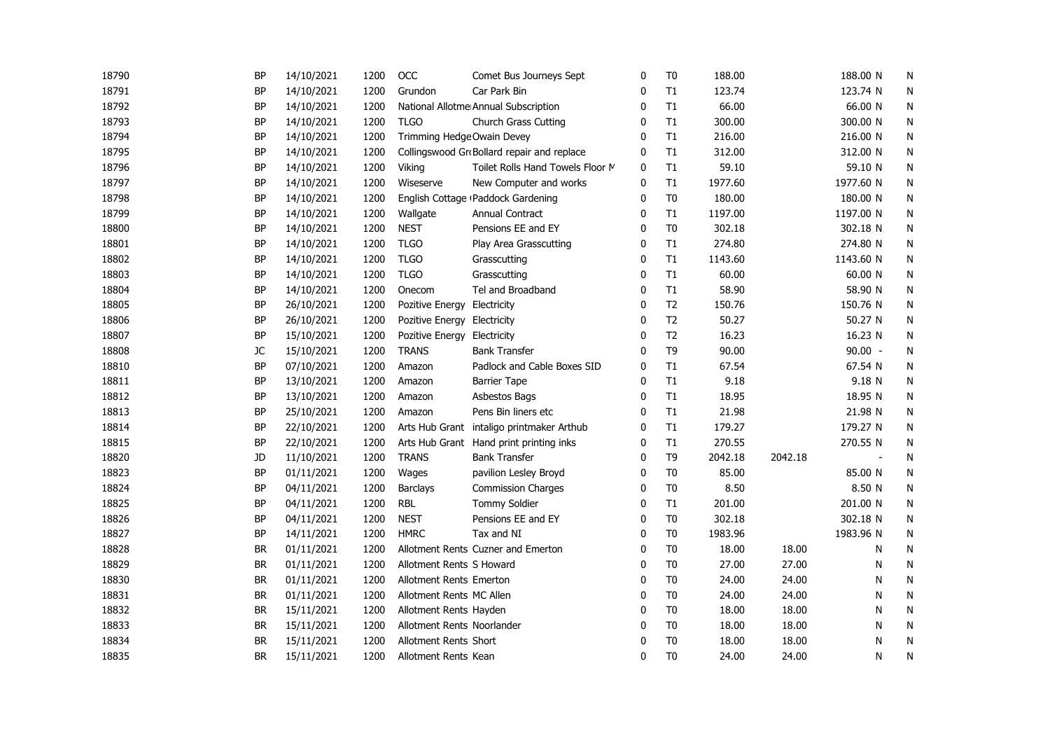| 18790 | <b>BP</b> | 14/10/2021 | 1200 | OCC                            | Comet Bus Journeys Sept                    | 0            | T <sub>0</sub> | 188.00  |         | 188.00 N  | N         |
|-------|-----------|------------|------|--------------------------------|--------------------------------------------|--------------|----------------|---------|---------|-----------|-----------|
| 18791 | <b>BP</b> | 14/10/2021 | 1200 | Grundon                        | Car Park Bin                               | 0            | T1             | 123.74  |         | 123.74 N  | N         |
| 18792 | BP        | 14/10/2021 | 1200 |                                | National Allotme Annual Subscription       | 0            | T1             | 66.00   |         | 66.00 N   | N         |
| 18793 | <b>BP</b> | 14/10/2021 | 1200 | <b>TLGO</b>                    | <b>Church Grass Cutting</b>                | 0            | T1             | 300.00  |         | 300.00 N  | N         |
| 18794 | <b>BP</b> | 14/10/2021 | 1200 | Trimming Hedge Owain Devey     |                                            | 0            | T1             | 216.00  |         | 216.00 N  | N         |
| 18795 | <b>BP</b> | 14/10/2021 | 1200 |                                | Collingswood GroBollard repair and replace | $\mathbf 0$  | T1             | 312.00  |         | 312.00 N  | ${\sf N}$ |
| 18796 | <b>BP</b> | 14/10/2021 | 1200 | Viking                         | Toilet Rolls Hand Towels Floor M           | $\mathbf 0$  | T1             | 59.10   |         | 59.10 N   | N         |
| 18797 | BP        | 14/10/2021 | 1200 | Wiseserve                      | New Computer and works                     | 0            | T1             | 1977.60 |         | 1977.60 N | N         |
| 18798 | BP        | 14/10/2021 | 1200 |                                | English Cottage (Paddock Gardening         | 0            | T <sub>0</sub> | 180.00  |         | 180.00 N  | N         |
| 18799 | <b>BP</b> | 14/10/2021 | 1200 | Wallgate                       | Annual Contract                            | 0            | T1             | 1197.00 |         | 1197.00 N | N         |
| 18800 | <b>BP</b> | 14/10/2021 | 1200 | <b>NEST</b>                    | Pensions EE and EY                         | 0            | T <sub>0</sub> | 302.18  |         | 302.18 N  | N         |
| 18801 | BP        | 14/10/2021 | 1200 | <b>TLGO</b>                    | Play Area Grasscutting                     | 0            | T1             | 274.80  |         | 274.80 N  | N         |
| 18802 | <b>BP</b> | 14/10/2021 | 1200 | <b>TLGO</b>                    | Grasscutting                               | 0            | T1             | 1143.60 |         | 1143.60 N | N         |
| 18803 | <b>BP</b> | 14/10/2021 | 1200 | <b>TLGO</b>                    | Grasscutting                               | 0            | T1             | 60.00   |         | 60.00 N   | N         |
| 18804 | BP        | 14/10/2021 | 1200 | Onecom                         | Tel and Broadband                          | $\Omega$     | T1             | 58.90   |         | 58.90 N   | N         |
| 18805 | <b>BP</b> | 26/10/2021 | 1200 | Pozitive Energy Electricity    |                                            | $\mathbf{0}$ | T <sub>2</sub> | 150.76  |         | 150.76 N  | N         |
| 18806 | <b>BP</b> | 26/10/2021 | 1200 | Pozitive Energy Electricity    |                                            | $\mathbf{0}$ | T <sub>2</sub> | 50.27   |         | 50.27 N   | N         |
| 18807 | <b>BP</b> | 15/10/2021 | 1200 | Pozitive Energy Electricity    |                                            | $\Omega$     | T <sub>2</sub> | 16.23   |         | 16.23 N   | N         |
| 18808 | JC        | 15/10/2021 | 1200 | <b>TRANS</b>                   | <b>Bank Transfer</b>                       | $\mathbf{0}$ | T <sub>9</sub> | 90.00   |         | $90.00 -$ | N         |
| 18810 | BP        | 07/10/2021 | 1200 | Amazon                         | Padlock and Cable Boxes SID                | 0            | T1             | 67.54   |         | 67.54 N   | N         |
| 18811 | <b>BP</b> | 13/10/2021 | 1200 | Amazon                         | <b>Barrier Tape</b>                        | 0            | T1             | 9.18    |         | 9.18 N    | N         |
| 18812 | <b>BP</b> | 13/10/2021 | 1200 | Amazon                         | Asbestos Bags                              | 0            | T1             | 18.95   |         | 18.95 N   | N         |
| 18813 | BP        | 25/10/2021 | 1200 | Amazon                         | Pens Bin liners etc                        | 0            | T1             | 21.98   |         | 21.98 N   | N         |
| 18814 | BP        | 22/10/2021 | 1200 |                                | Arts Hub Grant intaligo printmaker Arthub  | 0            | T1             | 179.27  |         | 179.27 N  | N         |
| 18815 | <b>BP</b> | 22/10/2021 | 1200 |                                | Arts Hub Grant Hand print printing inks    | 0            | T1             | 270.55  |         | 270.55 N  | N         |
| 18820 | JD        | 11/10/2021 | 1200 | <b>TRANS</b>                   | <b>Bank Transfer</b>                       | 0            | T <sub>9</sub> | 2042.18 | 2042.18 |           | N         |
| 18823 | <b>BP</b> | 01/11/2021 | 1200 | Wages                          | pavilion Lesley Broyd                      | $\mathbf 0$  | T <sub>0</sub> | 85.00   |         | 85.00 N   | N         |
| 18824 | <b>BP</b> | 04/11/2021 | 1200 | Barclays                       | <b>Commission Charges</b>                  | 0            | T <sub>0</sub> | 8.50    |         | 8.50 N    | N         |
| 18825 | <b>BP</b> | 04/11/2021 | 1200 | <b>RBL</b>                     | <b>Tommy Soldier</b>                       | 0            | T1             | 201.00  |         | 201.00 N  | N         |
| 18826 | <b>BP</b> | 04/11/2021 | 1200 | <b>NEST</b>                    | Pensions EE and EY                         | $\mathbf 0$  | T <sub>0</sub> | 302.18  |         | 302.18 N  | N         |
| 18827 | <b>BP</b> | 14/11/2021 | 1200 | <b>HMRC</b>                    | Tax and NI                                 | 0            | T <sub>0</sub> | 1983.96 |         | 1983.96 N | N         |
| 18828 | BR        | 01/11/2021 | 1200 |                                | Allotment Rents Cuzner and Emerton         | 0            | T <sub>0</sub> | 18.00   | 18.00   | N         | N         |
| 18829 | BR        | 01/11/2021 | 1200 | Allotment Rents S Howard       |                                            | 0            | T <sub>0</sub> | 27.00   | 27.00   | Ν         | N         |
| 18830 | <b>BR</b> | 01/11/2021 | 1200 | <b>Allotment Rents Emerton</b> |                                            | 0            | T <sub>0</sub> | 24.00   | 24.00   | N         | N         |
| 18831 | <b>BR</b> | 01/11/2021 | 1200 | Allotment Rents MC Allen       |                                            | $\Omega$     | T <sub>0</sub> | 24.00   | 24.00   | N         | N         |
| 18832 | <b>BR</b> | 15/11/2021 | 1200 | Allotment Rents Hayden         |                                            | $\mathbf 0$  | T <sub>0</sub> | 18.00   | 18.00   | N         | N         |
| 18833 | <b>BR</b> | 15/11/2021 | 1200 | Allotment Rents Noorlander     |                                            | 0            | T <sub>0</sub> | 18.00   | 18.00   | N         | N         |
| 18834 | BR        | 15/11/2021 | 1200 | Allotment Rents Short          |                                            | 0            | T <sub>0</sub> | 18.00   | 18.00   | N         | N         |
| 18835 | <b>BR</b> | 15/11/2021 | 1200 | Allotment Rents Kean           |                                            | $\mathbf{0}$ | T <sub>0</sub> | 24.00   | 24.00   | N         | N         |
|       |           |            |      |                                |                                            |              |                |         |         |           |           |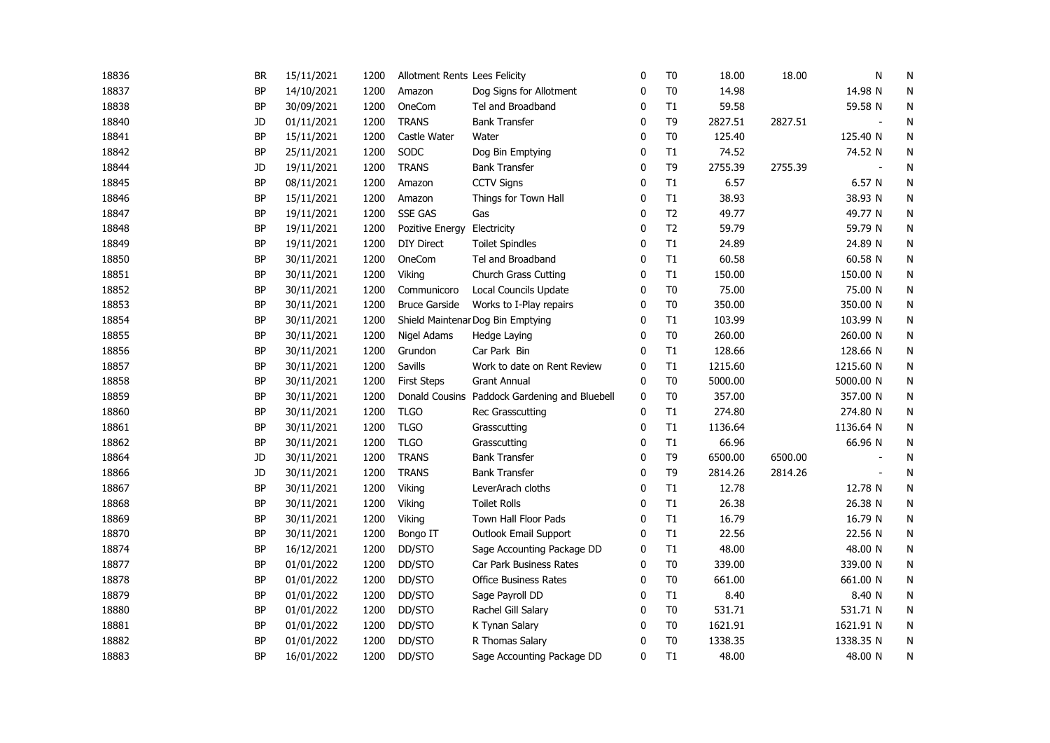| 18836 | <b>BR</b> | 15/11/2021 | 1200 | Allotment Rents Lees Felicity |                                               | $\mathbf 0$  | T <sub>0</sub> | 18.00   | 18.00   | N                        | N         |
|-------|-----------|------------|------|-------------------------------|-----------------------------------------------|--------------|----------------|---------|---------|--------------------------|-----------|
| 18837 | <b>BP</b> | 14/10/2021 | 1200 | Amazon                        | Dog Signs for Allotment                       | 0            | T <sub>0</sub> | 14.98   |         | 14.98 N                  | N         |
| 18838 | BP        | 30/09/2021 | 1200 | OneCom                        | Tel and Broadband                             | 0            | T1             | 59.58   |         | 59.58 N                  | N         |
| 18840 | JD        | 01/11/2021 | 1200 | <b>TRANS</b>                  | <b>Bank Transfer</b>                          | $\mathbf{0}$ | T <sub>9</sub> | 2827.51 | 2827.51 | $\blacksquare$           | N         |
| 18841 | BP        | 15/11/2021 | 1200 | Castle Water                  | Water                                         | 0            | T <sub>0</sub> | 125.40  |         | 125.40 N                 | N         |
| 18842 | BP        | 25/11/2021 | 1200 | SODC                          | Dog Bin Emptying                              | 0            | T1             | 74.52   |         | 74.52 N                  | N         |
| 18844 | JD        | 19/11/2021 | 1200 | <b>TRANS</b>                  | <b>Bank Transfer</b>                          | $\mathbf{0}$ | T <sub>9</sub> | 2755.39 | 2755.39 |                          | N         |
| 18845 | <b>BP</b> | 08/11/2021 | 1200 | Amazon                        | <b>CCTV Signs</b>                             | 0            | T1             | 6.57    |         | 6.57 N                   | N         |
| 18846 | BP        | 15/11/2021 | 1200 | Amazon                        | Things for Town Hall                          | 0            | T1             | 38.93   |         | 38.93 N                  | N         |
| 18847 | BP        | 19/11/2021 | 1200 | <b>SSE GAS</b>                | Gas                                           | $\mathbf 0$  | T <sub>2</sub> | 49.77   |         | 49.77 N                  | N         |
| 18848 | BP        | 19/11/2021 | 1200 | Pozitive Energy               | Electricity                                   | $\mathbf 0$  | T <sub>2</sub> | 59.79   |         | 59.79 N                  | ${\sf N}$ |
| 18849 | <b>BP</b> | 19/11/2021 | 1200 | <b>DIY Direct</b>             | <b>Toilet Spindles</b>                        | 0            | T1             | 24.89   |         | 24.89 N                  | N         |
| 18850 | <b>BP</b> | 30/11/2021 | 1200 | OneCom                        | Tel and Broadband                             | $\mathbf 0$  | T1             | 60.58   |         | 60.58 N                  | N         |
| 18851 | <b>BP</b> | 30/11/2021 | 1200 | Viking                        | Church Grass Cutting                          | $\mathbf 0$  | T1             | 150.00  |         | 150.00 N                 | N         |
| 18852 | <b>BP</b> | 30/11/2021 | 1200 | Communicoro                   | Local Councils Update                         | 0            | T <sub>0</sub> | 75.00   |         | 75.00 N                  | N         |
| 18853 | <b>BP</b> | 30/11/2021 | 1200 | <b>Bruce Garside</b>          | Works to I-Play repairs                       | $\mathbf{0}$ | T <sub>0</sub> | 350.00  |         | 350.00 N                 | N         |
| 18854 | <b>BP</b> | 30/11/2021 | 1200 |                               | Shield Maintenar Dog Bin Emptying             | $\mathbf 0$  | T1             | 103.99  |         | 103.99 N                 | N         |
| 18855 | <b>BP</b> | 30/11/2021 | 1200 | Nigel Adams                   | Hedge Laying                                  | $\mathbf{0}$ | T <sub>0</sub> | 260.00  |         | 260.00 N                 | N         |
| 18856 | <b>BP</b> | 30/11/2021 | 1200 | Grundon                       | Car Park Bin                                  | $\mathbf{0}$ | T1             | 128.66  |         | 128.66 N                 | N         |
| 18857 | <b>BP</b> | 30/11/2021 | 1200 | Savills                       | Work to date on Rent Review                   | 0            | T1             | 1215.60 |         | 1215.60 N                | N         |
| 18858 | BP        | 30/11/2021 | 1200 | <b>First Steps</b>            | <b>Grant Annual</b>                           | 0            | T <sub>0</sub> | 5000.00 |         | 5000.00 N                | N         |
| 18859 | <b>BP</b> | 30/11/2021 | 1200 |                               | Donald Cousins Paddock Gardening and Bluebell | 0            | T <sub>0</sub> | 357.00  |         | 357.00 N                 | N         |
| 18860 | BP        | 30/11/2021 | 1200 | <b>TLGO</b>                   | <b>Rec Grasscutting</b>                       | 0            | T1             | 274.80  |         | 274.80 N                 | N         |
| 18861 | BP        | 30/11/2021 | 1200 | <b>TLGO</b>                   | Grasscutting                                  | 0            | T1             | 1136.64 |         | 1136.64 N                | N         |
| 18862 | BP        | 30/11/2021 | 1200 | <b>TLGO</b>                   | Grasscutting                                  | 0            | T1             | 66.96   |         | 66.96 N                  | N         |
| 18864 | JD        | 30/11/2021 | 1200 | <b>TRANS</b>                  | <b>Bank Transfer</b>                          | 0            | T9             | 6500.00 | 6500.00 |                          | N         |
| 18866 | JD        | 30/11/2021 | 1200 | <b>TRANS</b>                  | <b>Bank Transfer</b>                          | 0            | T <sub>9</sub> | 2814.26 | 2814.26 | $\overline{\phantom{a}}$ | N         |
| 18867 | <b>BP</b> | 30/11/2021 | 1200 | Viking                        | LeverArach cloths                             | 0            | T1             | 12.78   |         | 12.78 N                  | ${\sf N}$ |
| 18868 | <b>BP</b> | 30/11/2021 | 1200 | Viking                        | <b>Toilet Rolls</b>                           | $\mathbf{0}$ | T1             | 26.38   |         | 26.38 N                  | N         |
| 18869 | <b>BP</b> | 30/11/2021 | 1200 | Viking                        | Town Hall Floor Pads                          | $\mathbf{0}$ | T1             | 16.79   |         | 16.79 N                  | N         |
| 18870 | <b>BP</b> | 30/11/2021 | 1200 | Bongo IT                      | Outlook Email Support                         | $\mathbf{0}$ | T1             | 22.56   |         | 22.56 N                  | N         |
| 18874 | <b>BP</b> | 16/12/2021 | 1200 | DD/STO                        | Sage Accounting Package DD                    | 0            | T1             | 48.00   |         | 48.00 N                  | N         |
| 18877 | <b>BP</b> | 01/01/2022 | 1200 | DD/STO                        | <b>Car Park Business Rates</b>                | 0            | T <sub>0</sub> | 339.00  |         | 339.00 N                 | N         |
| 18878 | ΒP        | 01/01/2022 | 1200 | DD/STO                        | <b>Office Business Rates</b>                  | 0            | T <sub>0</sub> | 661.00  |         | 661.00 N                 | N         |
| 18879 | BP        | 01/01/2022 | 1200 | DD/STO                        | Sage Payroll DD                               | 0            | T1             | 8.40    |         | 8.40 N                   | N         |
| 18880 | <b>BP</b> | 01/01/2022 | 1200 | DD/STO                        | Rachel Gill Salary                            | 0            | T <sub>0</sub> | 531.71  |         | 531.71 N                 | N         |
| 18881 | BP        | 01/01/2022 | 1200 | DD/STO                        | K Tynan Salary                                | 0            | T <sub>0</sub> | 1621.91 |         | 1621.91 N                | N         |
| 18882 | <b>BP</b> | 01/01/2022 | 1200 | DD/STO                        | R Thomas Salary                               | $\mathbf 0$  | T <sub>0</sub> | 1338.35 |         | 1338.35 N                | N         |
| 18883 | <b>BP</b> | 16/01/2022 | 1200 | DD/STO                        | Sage Accounting Package DD                    | 0            | T1             | 48.00   |         | 48.00 N                  | N         |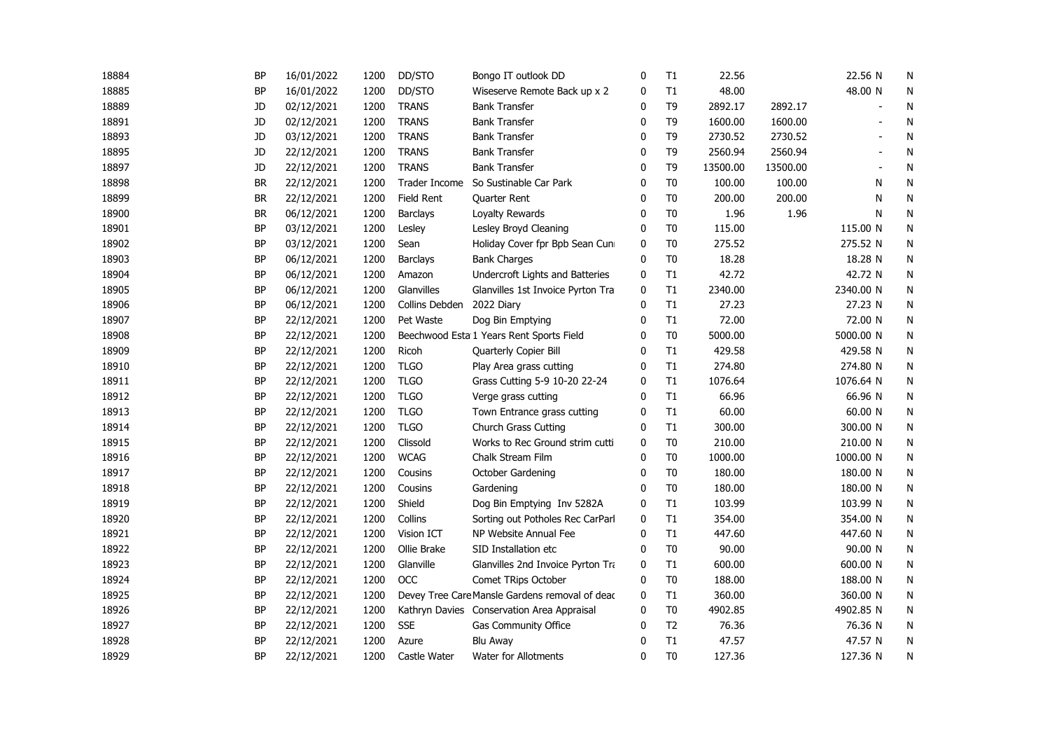| 18884 | <b>BP</b> | 16/01/2022 | 1200 | DD/STO            | Bongo IT outlook DD                            | 0            | T1             | 22.56    |          | 22.56 N   | N |
|-------|-----------|------------|------|-------------------|------------------------------------------------|--------------|----------------|----------|----------|-----------|---|
| 18885 | <b>BP</b> | 16/01/2022 | 1200 | DD/STO            | Wiseserve Remote Back up x 2                   | 0            | T1             | 48.00    |          | 48.00 N   | N |
| 18889 | JD        | 02/12/2021 | 1200 | <b>TRANS</b>      | <b>Bank Transfer</b>                           | 0            | T <sub>9</sub> | 2892.17  | 2892.17  |           | N |
| 18891 | <b>JD</b> | 02/12/2021 | 1200 | <b>TRANS</b>      | <b>Bank Transfer</b>                           | $\mathbf{0}$ | T <sub>9</sub> | 1600.00  | 1600.00  |           | N |
| 18893 | <b>JD</b> | 03/12/2021 | 1200 | <b>TRANS</b>      | <b>Bank Transfer</b>                           | $\mathbf{0}$ | T <sub>9</sub> | 2730.52  | 2730.52  |           | N |
| 18895 | JD        | 22/12/2021 | 1200 | <b>TRANS</b>      | <b>Bank Transfer</b>                           | 0            | T <sub>9</sub> | 2560.94  | 2560.94  |           | N |
| 18897 | JD        | 22/12/2021 | 1200 | <b>TRANS</b>      | <b>Bank Transfer</b>                           | 0            | T <sub>9</sub> | 13500.00 | 13500.00 |           | N |
| 18898 | <b>BR</b> | 22/12/2021 | 1200 | Trader Income     | So Sustinable Car Park                         | 0            | T <sub>0</sub> | 100.00   | 100.00   | N         | N |
| 18899 | BR        | 22/12/2021 | 1200 | <b>Field Rent</b> | Quarter Rent                                   | 0            | T <sub>0</sub> | 200.00   | 200.00   | N         | N |
| 18900 | <b>BR</b> | 06/12/2021 | 1200 | <b>Barclays</b>   | Loyalty Rewards                                | $\mathbf 0$  | T <sub>0</sub> | 1.96     | 1.96     | N         | N |
| 18901 | <b>BP</b> | 03/12/2021 | 1200 | Lesley            | Lesley Broyd Cleaning                          | 0            | T <sub>0</sub> | 115.00   |          | 115.00 N  | N |
| 18902 | <b>BP</b> | 03/12/2021 | 1200 | Sean              | Holiday Cover fpr Bpb Sean Cuni                | 0            | T <sub>0</sub> | 275.52   |          | 275.52 N  | N |
| 18903 | <b>BP</b> | 06/12/2021 | 1200 | <b>Barclays</b>   | <b>Bank Charges</b>                            | 0            | T <sub>0</sub> | 18.28    |          | 18.28 N   | N |
| 18904 | <b>BP</b> | 06/12/2021 | 1200 | Amazon            | Undercroft Lights and Batteries                | 0            | T1             | 42.72    |          | 42.72 N   | N |
| 18905 | <b>BP</b> | 06/12/2021 | 1200 | Glanvilles        | Glanvilles 1st Invoice Pyrton Tra              | 0            | T1             | 2340.00  |          | 2340.00 N | N |
| 18906 | <b>BP</b> | 06/12/2021 | 1200 | Collins Debden    | 2022 Diary                                     | $\mathbf{0}$ | T1             | 27.23    |          | 27.23 N   | N |
| 18907 | <b>BP</b> | 22/12/2021 | 1200 | Pet Waste         | Dog Bin Emptying                               | $\mathbf{0}$ | T1             | 72.00    |          | 72.00 N   | N |
| 18908 | <b>BP</b> | 22/12/2021 | 1200 |                   | Beechwood Esta 1 Years Rent Sports Field       | $\mathbf 0$  | T <sub>0</sub> | 5000.00  |          | 5000.00 N | N |
| 18909 | <b>BP</b> | 22/12/2021 | 1200 | Ricoh             | Quarterly Copier Bill                          | 0            | T1             | 429.58   |          | 429.58 N  | N |
| 18910 | <b>BP</b> | 22/12/2021 | 1200 | <b>TLGO</b>       | Play Area grass cutting                        | 0            | T1             | 274.80   |          | 274.80 N  | N |
| 18911 | <b>BP</b> | 22/12/2021 | 1200 | <b>TLGO</b>       | Grass Cutting 5-9 10-20 22-24                  | $\mathbf{0}$ | T1             | 1076.64  |          | 1076.64 N | N |
| 18912 | <b>BP</b> | 22/12/2021 | 1200 | <b>TLGO</b>       | Verge grass cutting                            | $\mathbf{0}$ | T1             | 66.96    |          | 66.96 N   | N |
| 18913 | <b>BP</b> | 22/12/2021 | 1200 | <b>TLGO</b>       | Town Entrance grass cutting                    | 0            | T1             | 60.00    |          | 60.00 N   | N |
| 18914 | BP        | 22/12/2021 | 1200 | <b>TLGO</b>       | <b>Church Grass Cutting</b>                    | 0            | T1             | 300.00   |          | 300.00 N  | N |
| 18915 | <b>BP</b> | 22/12/2021 | 1200 | Clissold          | Works to Rec Ground strim cutti                | 0            | T <sub>0</sub> | 210.00   |          | 210.00 N  | N |
| 18916 | <b>BP</b> | 22/12/2021 | 1200 | <b>WCAG</b>       | Chalk Stream Film                              | 0            | T <sub>0</sub> | 1000.00  |          | 1000.00 N | N |
| 18917 | <b>BP</b> | 22/12/2021 | 1200 | Cousins           | October Gardening                              | $\mathbf 0$  | T <sub>0</sub> | 180.00   |          | 180.00 N  | N |
| 18918 | <b>BP</b> | 22/12/2021 | 1200 | Cousins           | Gardening                                      | 0            | T <sub>0</sub> | 180.00   |          | 180.00 N  | N |
| 18919 | <b>BP</b> | 22/12/2021 | 1200 | Shield            | Dog Bin Emptying Inv 5282A                     | 0            | T1             | 103.99   |          | 103.99 N  | N |
| 18920 | <b>BP</b> | 22/12/2021 | 1200 | Collins           | Sorting out Potholes Rec CarParl               | 0            | T1             | 354.00   |          | 354.00 N  | N |
| 18921 | <b>BP</b> | 22/12/2021 | 1200 | Vision ICT        | NP Website Annual Fee                          | 0            | T1             | 447.60   |          | 447.60 N  | N |
| 18922 | <b>BP</b> | 22/12/2021 | 1200 | Ollie Brake       | SID Installation etc                           | $\mathbf{0}$ | T <sub>0</sub> | 90.00    |          | 90.00 N   | N |
| 18923 | <b>BP</b> | 22/12/2021 | 1200 | Glanville         | Glanvilles 2nd Invoice Pyrton Tra              | 0            | T1             | 600.00   |          | 600.00 N  | N |
| 18924 | <b>BP</b> | 22/12/2021 | 1200 | <b>OCC</b>        | Comet TRips October                            | $\mathbf{0}$ | T <sub>0</sub> | 188.00   |          | 188.00 N  | N |
| 18925 | <b>BP</b> | 22/12/2021 | 1200 |                   | Devey Tree Care Mansle Gardens removal of deac | 0            | T1             | 360.00   |          | 360.00 N  | N |
| 18926 | <b>BP</b> | 22/12/2021 | 1200 |                   | Kathryn Davies Conservation Area Appraisal     | 0            | T <sub>0</sub> | 4902.85  |          | 4902.85 N | N |
| 18927 | BP        | 22/12/2021 | 1200 | <b>SSE</b>        | <b>Gas Community Office</b>                    | 0            | T <sub>2</sub> | 76.36    |          | 76.36 N   | N |
| 18928 | <b>BP</b> | 22/12/2021 | 1200 | Azure             | <b>Blu Away</b>                                | $\mathbf 0$  | T1             | 47.57    |          | 47.57 N   | N |
| 18929 | <b>BP</b> | 22/12/2021 | 1200 | Castle Water      | Water for Allotments                           | $\mathbf{0}$ | T <sub>0</sub> | 127.36   |          | 127.36 N  | N |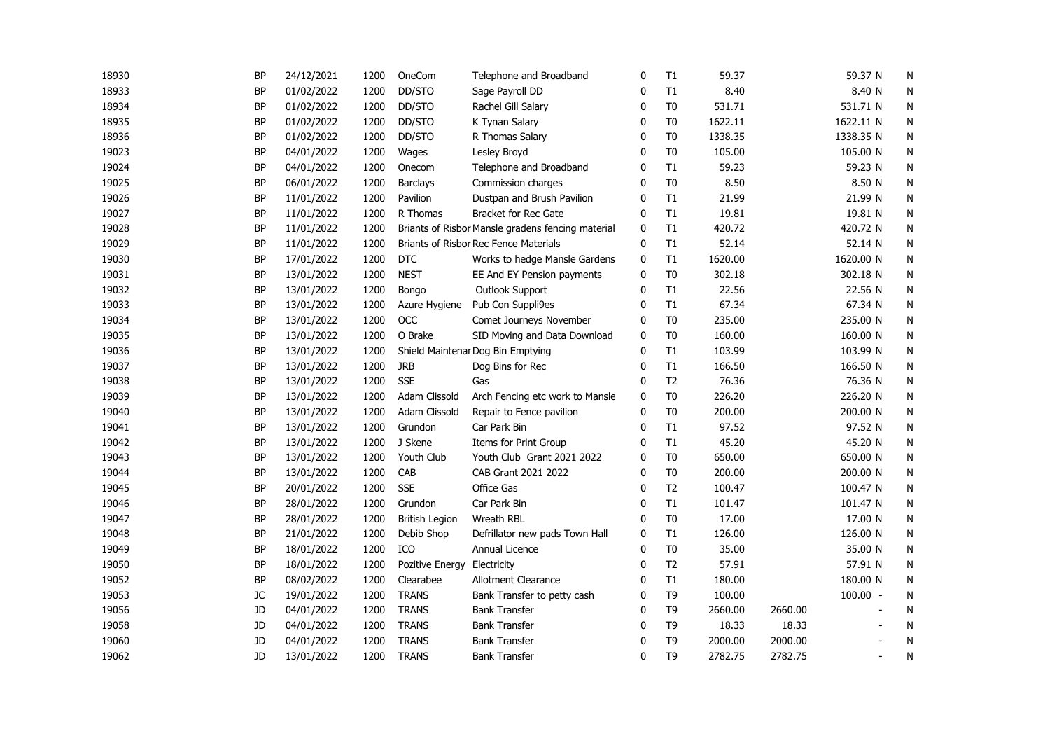| 18930 | <b>BP</b> | 24/12/2021 | 1200 | OneCom                | Telephone and Broadband                           | $\mathbf 0$  | T1             | 59.37   |         | 59.37 N                  | N |
|-------|-----------|------------|------|-----------------------|---------------------------------------------------|--------------|----------------|---------|---------|--------------------------|---|
| 18933 | <b>BP</b> | 01/02/2022 | 1200 | DD/STO                | Sage Payroll DD                                   | 0            | T1             | 8.40    |         | 8.40 N                   | N |
| 18934 | BP        | 01/02/2022 | 1200 | DD/STO                | Rachel Gill Salary                                | 0            | T <sub>0</sub> | 531.71  |         | 531.71 N                 | N |
| 18935 | <b>BP</b> | 01/02/2022 | 1200 | DD/STO                | K Tynan Salary                                    | 0            | T <sub>0</sub> | 1622.11 |         | 1622.11 N                | N |
| 18936 | <b>BP</b> | 01/02/2022 | 1200 | DD/STO                | R Thomas Salary                                   | 0            | T <sub>0</sub> | 1338.35 |         | 1338.35 N                | N |
| 19023 | <b>BP</b> | 04/01/2022 | 1200 | Wages                 | Lesley Broyd                                      | $\mathbf{0}$ | T <sub>0</sub> | 105.00  |         | 105.00 N                 | N |
| 19024 | <b>BP</b> | 04/01/2022 | 1200 | Onecom                | Telephone and Broadband                           | $\mathbf{0}$ | T1             | 59.23   |         | 59.23 N                  | N |
| 19025 | <b>BP</b> | 06/01/2022 | 1200 | <b>Barclays</b>       | Commission charges                                | $\Omega$     | T <sub>0</sub> | 8.50    |         | 8.50 N                   | N |
| 19026 | BP        | 11/01/2022 | 1200 | Pavilion              | Dustpan and Brush Pavilion                        | 0            | T1             | 21.99   |         | 21.99 N                  | N |
| 19027 | <b>BP</b> | 11/01/2022 | 1200 | R Thomas              | Bracket for Rec Gate                              | 0            | T1             | 19.81   |         | 19.81 N                  | N |
| 19028 | <b>BP</b> | 11/01/2022 | 1200 |                       | Briants of Risbor Mansle gradens fencing material | 0            | T1             | 420.72  |         | 420.72 N                 | N |
| 19029 | BP        | 11/01/2022 | 1200 |                       | Briants of Risbor Rec Fence Materials             | 0            | T1             | 52.14   |         | 52.14 N                  | N |
| 19030 | <b>BP</b> | 17/01/2022 | 1200 | <b>DTC</b>            | Works to hedge Mansle Gardens                     | 0            | T1             | 1620.00 |         | 1620.00 N                | N |
| 19031 | <b>BP</b> | 13/01/2022 | 1200 | <b>NEST</b>           | EE And EY Pension payments                        | 0            | T <sub>0</sub> | 302.18  |         | 302.18 N                 | N |
| 19032 | BP        | 13/01/2022 | 1200 | Bongo                 | Outlook Support                                   | 0            | T1             | 22.56   |         | 22.56 N                  | N |
| 19033 | <b>BP</b> | 13/01/2022 | 1200 | Azure Hygiene         | Pub Con Suppli9es                                 | $\mathbf{0}$ | T1             | 67.34   |         | 67.34 N                  | N |
| 19034 | <b>BP</b> | 13/01/2022 | 1200 | <b>OCC</b>            | Comet Journeys November                           | $\mathbf 0$  | T <sub>0</sub> | 235.00  |         | 235.00 N                 | N |
| 19035 | <b>BP</b> | 13/01/2022 | 1200 | O Brake               | SID Moving and Data Download                      | 0            | T <sub>0</sub> | 160.00  |         | 160.00 N                 | N |
| 19036 | <b>BP</b> | 13/01/2022 | 1200 |                       | Shield Maintenar Dog Bin Emptying                 | $\mathbf{0}$ | T1             | 103.99  |         | 103.99 N                 | N |
| 19037 | <b>BP</b> | 13/01/2022 | 1200 | <b>JRB</b>            | Dog Bins for Rec                                  | $\Omega$     | T1             | 166.50  |         | 166.50 N                 | N |
| 19038 | BP        | 13/01/2022 | 1200 | <b>SSE</b>            | Gas                                               | 0            | T <sub>2</sub> | 76.36   |         | 76.36 N                  | N |
| 19039 | BP        | 13/01/2022 | 1200 | Adam Clissold         | Arch Fencing etc work to Mansle                   | 0            | T <sub>0</sub> | 226.20  |         | 226.20 N                 | N |
| 19040 | <b>BP</b> | 13/01/2022 | 1200 | Adam Clissold         | Repair to Fence pavilion                          | 0            | T <sub>0</sub> | 200.00  |         | 200.00 N                 | N |
| 19041 | BP        | 13/01/2022 | 1200 | Grundon               | Car Park Bin                                      | 0            | T1             | 97.52   |         | 97.52 N                  | N |
| 19042 | <b>BP</b> | 13/01/2022 | 1200 | J Skene               | Items for Print Group                             | 0            | $\mathsf{T}1$  | 45.20   |         | 45.20 N                  | N |
| 19043 | <b>BP</b> | 13/01/2022 | 1200 | Youth Club            | Youth Club Grant 2021 2022                        | 0            | T <sub>0</sub> | 650.00  |         | 650.00 N                 | N |
| 19044 | <b>BP</b> | 13/01/2022 | 1200 | CAB                   | CAB Grant 2021 2022                               | 0            | T <sub>0</sub> | 200.00  |         | 200.00 N                 | N |
| 19045 | <b>BP</b> | 20/01/2022 | 1200 | <b>SSE</b>            | Office Gas                                        | 0            | T <sub>2</sub> | 100.47  |         | 100.47 N                 | N |
| 19046 | <b>BP</b> | 28/01/2022 | 1200 | Grundon               | Car Park Bin                                      | $\mathbf{0}$ | T1             | 101.47  |         | 101.47 N                 | N |
| 19047 | <b>BP</b> | 28/01/2022 | 1200 | <b>British Legion</b> | Wreath RBL                                        | $\Omega$     | T <sub>0</sub> | 17.00   |         | 17.00 N                  | N |
| 19048 | <b>BP</b> | 21/01/2022 | 1200 | Debib Shop            | Defrillator new pads Town Hall                    | 0            | T1             | 126.00  |         | 126.00 N                 | N |
| 19049 | <b>BP</b> | 18/01/2022 | 1200 | ICO                   | Annual Licence                                    | $\mathbf{0}$ | T <sub>0</sub> | 35.00   |         | 35.00 N                  | N |
| 19050 | <b>BP</b> | 18/01/2022 | 1200 | Pozitive Energy       | Electricity                                       | 0            | T <sub>2</sub> | 57.91   |         | 57.91 N                  | N |
| 19052 | BP        | 08/02/2022 | 1200 | Clearabee             | Allotment Clearance                               | 0            | T1             | 180.00  |         | 180.00 N                 | N |
| 19053 | JC        | 19/01/2022 | 1200 | <b>TRANS</b>          | Bank Transfer to petty cash                       | 0            | T <sub>9</sub> | 100.00  |         | $100.00 -$               | N |
| 19056 | JD        | 04/01/2022 | 1200 | <b>TRANS</b>          | <b>Bank Transfer</b>                              | $\mathbf 0$  | T <sub>9</sub> | 2660.00 | 2660.00 |                          | N |
| 19058 | JD        | 04/01/2022 | 1200 | <b>TRANS</b>          | <b>Bank Transfer</b>                              | 0            | T <sub>9</sub> | 18.33   | 18.33   |                          | N |
| 19060 | JD        | 04/01/2022 | 1200 | <b>TRANS</b>          | <b>Bank Transfer</b>                              | 0            | T <sub>9</sub> | 2000.00 | 2000.00 |                          | N |
| 19062 | JD        | 13/01/2022 | 1200 | <b>TRANS</b>          | <b>Bank Transfer</b>                              | $\mathbf{0}$ | T <sub>9</sub> | 2782.75 | 2782.75 | $\overline{\phantom{a}}$ | N |
|       |           |            |      |                       |                                                   |              |                |         |         |                          |   |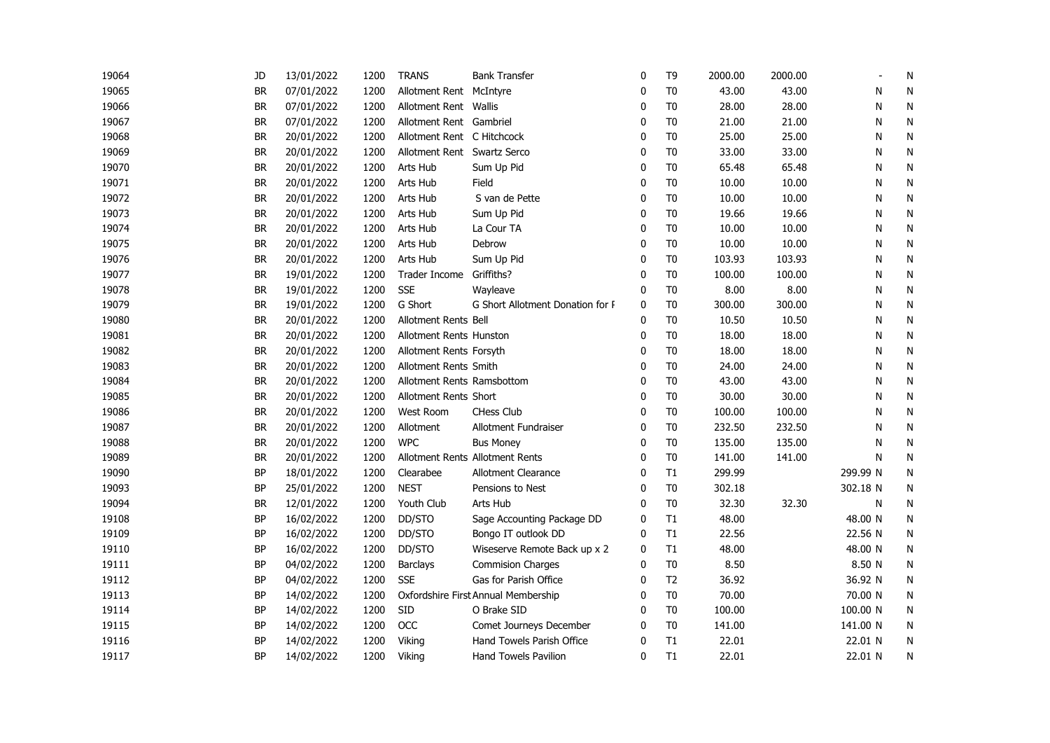| 19064 | JD        | 13/01/2022 | 1200 | <b>TRANS</b>                   | <b>Bank Transfer</b>                | $\mathbf 0$  | T <sub>9</sub> | 2000.00 | 2000.00 |          | N |
|-------|-----------|------------|------|--------------------------------|-------------------------------------|--------------|----------------|---------|---------|----------|---|
| 19065 | <b>BR</b> | 07/01/2022 | 1200 | Allotment Rent McIntyre        |                                     | 0            | T <sub>0</sub> | 43.00   | 43.00   | N        | N |
| 19066 | BR        | 07/01/2022 | 1200 | Allotment Rent Wallis          |                                     | 0            | T <sub>0</sub> | 28.00   | 28.00   | N        | N |
| 19067 | <b>BR</b> | 07/01/2022 | 1200 | Allotment Rent Gambriel        |                                     | 0            | T <sub>0</sub> | 21.00   | 21.00   | N        | N |
| 19068 | BR        | 20/01/2022 | 1200 | Allotment Rent C Hitchcock     |                                     | 0            | T <sub>0</sub> | 25.00   | 25.00   | N        | N |
| 19069 | <b>BR</b> | 20/01/2022 | 1200 | Allotment Rent Swartz Serco    |                                     | $\mathbf{0}$ | T <sub>0</sub> | 33.00   | 33.00   | N        | N |
| 19070 | <b>BR</b> | 20/01/2022 | 1200 | Arts Hub                       | Sum Up Pid                          | $\mathbf{0}$ | T <sub>0</sub> | 65.48   | 65.48   | N        | N |
| 19071 | <b>BR</b> | 20/01/2022 | 1200 | Arts Hub                       | Field                               | $\Omega$     | T <sub>0</sub> | 10.00   | 10.00   | N        | N |
| 19072 | BR        | 20/01/2022 | 1200 | Arts Hub                       | S van de Pette                      | $\Omega$     | T <sub>0</sub> | 10.00   | 10.00   | N        | N |
| 19073 | <b>BR</b> | 20/01/2022 | 1200 | Arts Hub                       | Sum Up Pid                          | 0            | T <sub>0</sub> | 19.66   | 19.66   | N        | N |
| 19074 | <b>BR</b> | 20/01/2022 | 1200 | Arts Hub                       | La Cour TA                          | 0            | T <sub>0</sub> | 10.00   | 10.00   | N        | N |
| 19075 | <b>BR</b> | 20/01/2022 | 1200 | Arts Hub                       | Debrow                              | 0            | T <sub>0</sub> | 10.00   | 10.00   | N        | N |
| 19076 | BR        | 20/01/2022 | 1200 | Arts Hub                       | Sum Up Pid                          | 0            | T <sub>0</sub> | 103.93  | 103.93  | N        | N |
| 19077 | BR        | 19/01/2022 | 1200 | Trader Income Griffiths?       |                                     | 0            | T <sub>0</sub> | 100.00  | 100.00  | N        | N |
| 19078 | BR        | 19/01/2022 | 1200 | <b>SSE</b>                     | Wayleave                            | $\Omega$     | T <sub>0</sub> | 8.00    | 8.00    | N        | N |
| 19079 | <b>BR</b> | 19/01/2022 | 1200 | G Short                        | G Short Allotment Donation for F    | 0            | T <sub>0</sub> | 300.00  | 300.00  | N        | N |
| 19080 | <b>BR</b> | 20/01/2022 | 1200 | <b>Allotment Rents Bell</b>    |                                     | $\mathbf{0}$ | T <sub>0</sub> | 10.50   | 10.50   | N        | N |
| 19081 | <b>BR</b> | 20/01/2022 | 1200 | <b>Allotment Rents Hunston</b> |                                     | $\mathbf 0$  | T <sub>0</sub> | 18.00   | 18.00   | N        | N |
| 19082 | BR        | 20/01/2022 | 1200 | Allotment Rents Forsyth        |                                     | $\Omega$     | T <sub>0</sub> | 18.00   | 18.00   | N        | N |
| 19083 | <b>BR</b> | 20/01/2022 | 1200 | Allotment Rents Smith          |                                     | $\mathbf{0}$ | T <sub>0</sub> | 24.00   | 24.00   | N        | N |
| 19084 | BR        | 20/01/2022 | 1200 | Allotment Rents Ramsbottom     |                                     | $\Omega$     | T <sub>0</sub> | 43.00   | 43.00   | N        | N |
| 19085 | BR        | 20/01/2022 | 1200 | Allotment Rents Short          |                                     | 0            | T <sub>0</sub> | 30.00   | 30.00   | N        | N |
| 19086 | BR        | 20/01/2022 | 1200 | West Room                      | <b>CHess Club</b>                   | 0            | T <sub>0</sub> | 100.00  | 100.00  | N        | N |
| 19087 | <b>BR</b> | 20/01/2022 | 1200 | Allotment                      | Allotment Fundraiser                | 0            | T <sub>0</sub> | 232.50  | 232.50  | N        | N |
| 19088 | <b>BR</b> | 20/01/2022 | 1200 | <b>WPC</b>                     | <b>Bus Money</b>                    | 0            | T <sub>0</sub> | 135.00  | 135.00  | N        | N |
| 19089 | BR        | 20/01/2022 | 1200 |                                | Allotment Rents Allotment Rents     | 0            | T <sub>0</sub> | 141.00  | 141.00  | N        | N |
| 19090 | BP        | 18/01/2022 | 1200 | Clearabee                      | Allotment Clearance                 | 0            | T1             | 299.99  |         | 299.99 N | N |
| 19093 | <b>BP</b> | 25/01/2022 | 1200 | <b>NEST</b>                    | Pensions to Nest                    | 0            | T <sub>0</sub> | 302.18  |         | 302.18 N | N |
| 19094 | <b>BR</b> | 12/01/2022 | 1200 | Youth Club                     | Arts Hub                            | $\mathbf{0}$ | T <sub>0</sub> | 32.30   | 32.30   | N        | N |
| 19108 | BP        | 16/02/2022 | 1200 | DD/STO                         | Sage Accounting Package DD          | 0            | T1             | 48.00   |         | 48.00 N  | N |
| 19109 | <b>BP</b> | 16/02/2022 | 1200 | DD/STO                         | Bongo IT outlook DD                 | 0            | T1             | 22.56   |         | 22.56 N  | N |
| 19110 | ΒP        | 16/02/2022 | 1200 | DD/STO                         | Wiseserve Remote Back up x 2        | 0            | T1             | 48.00   |         | 48.00 N  | N |
| 19111 | BP        | 04/02/2022 | 1200 | <b>Barclays</b>                | <b>Commision Charges</b>            | $\Omega$     | T <sub>0</sub> | 8.50    |         | 8.50 N   | N |
| 19112 | BP        | 04/02/2022 | 1200 | <b>SSE</b>                     | Gas for Parish Office               | 0            | T <sub>2</sub> | 36.92   |         | 36.92 N  | N |
| 19113 | <b>BP</b> | 14/02/2022 | 1200 |                                | Oxfordshire First Annual Membership | $\Omega$     | T <sub>0</sub> | 70.00   |         | 70.00 N  | N |
| 19114 | <b>BP</b> | 14/02/2022 | 1200 | <b>SID</b>                     | O Brake SID                         | $\Omega$     | T <sub>0</sub> | 100.00  |         | 100.00 N | N |
| 19115 | BP        | 14/02/2022 | 1200 | OCC                            | Comet Journeys December             | 0            | T <sub>0</sub> | 141.00  |         | 141.00 N | N |
| 19116 | <b>BP</b> | 14/02/2022 | 1200 | Viking                         | Hand Towels Parish Office           | 0            | T1             | 22.01   |         | 22.01 N  | N |
| 19117 | <b>BP</b> | 14/02/2022 | 1200 | Viking                         | <b>Hand Towels Pavilion</b>         | $\mathbf{0}$ | T1             | 22.01   |         | 22.01 N  | Ν |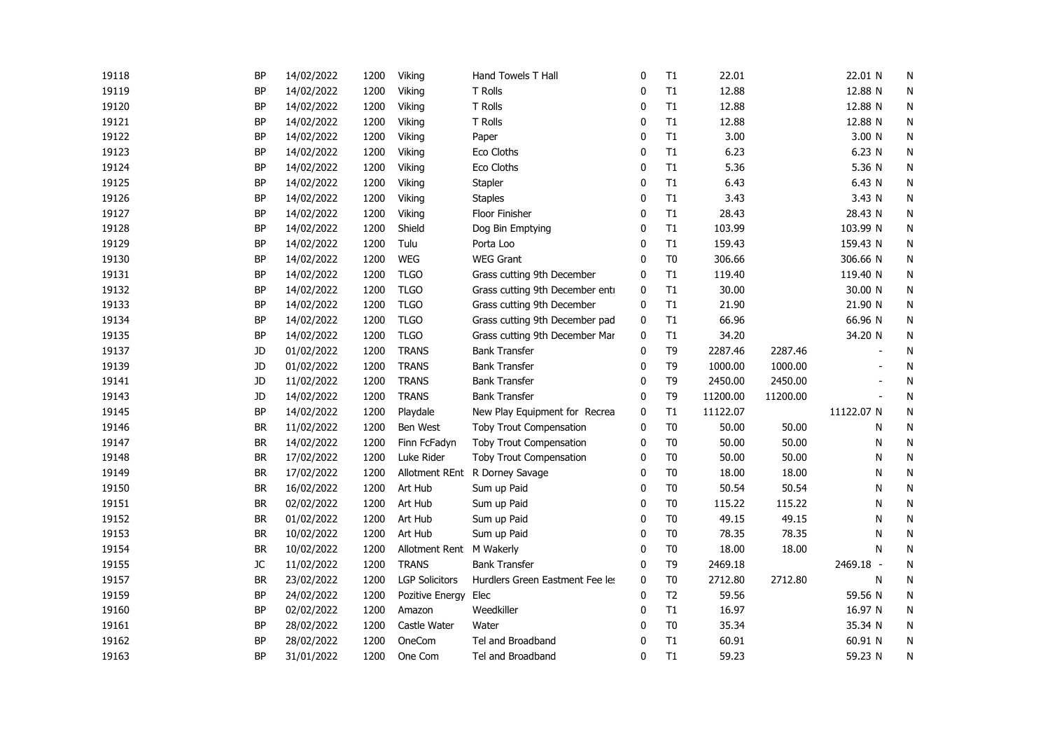| 19118 | <b>BP</b> | 14/02/2022 | 1200 | Viking                | Hand Towels T Hall              | 0            | T1             | 22.01    |          | 22.01 N    | N         |
|-------|-----------|------------|------|-----------------------|---------------------------------|--------------|----------------|----------|----------|------------|-----------|
| 19119 | BP        | 14/02/2022 | 1200 | Viking                | T Rolls                         | 0            | T1             | 12.88    |          | 12.88 N    | N         |
| 19120 | <b>BP</b> | 14/02/2022 | 1200 | Viking                | T Rolls                         | 0            | T1             | 12.88    |          | 12.88 N    | N         |
| 19121 | <b>BP</b> | 14/02/2022 | 1200 | Viking                | T Rolls                         | $\mathbf{0}$ | T1             | 12.88    |          | 12.88 N    | N         |
| 19122 | <b>BP</b> | 14/02/2022 | 1200 | Viking                | Paper                           | 0            | T1             | 3.00     |          | 3.00 N     | ${\sf N}$ |
| 19123 | BP        | 14/02/2022 | 1200 | Viking                | Eco Cloths                      | 0            | T1             | 6.23     |          | 6.23 N     | N         |
| 19124 | BP        | 14/02/2022 | 1200 | Viking                | Eco Cloths                      | 0            | T1             | 5.36     |          | 5.36 N     | N         |
| 19125 | <b>BP</b> | 14/02/2022 | 1200 | Viking                | Stapler                         | 0            | T1             | 6.43     |          | 6.43 N     | ${\sf N}$ |
| 19126 | <b>BP</b> | 14/02/2022 | 1200 | Viking                | <b>Staples</b>                  | $\Omega$     | T1             | 3.43     |          | 3.43 N     | N         |
| 19127 | BP        | 14/02/2022 | 1200 | Viking                | Floor Finisher                  | $\Omega$     | T1             | 28.43    |          | 28.43 N    | N         |
| 19128 | BP        | 14/02/2022 | 1200 | Shield                | Dog Bin Emptying                | 0            | T1             | 103.99   |          | 103.99 N   | N         |
| 19129 | BP        | 14/02/2022 | 1200 | Tulu                  | Porta Loo                       | 0            | T1             | 159.43   |          | 159.43 N   | N         |
| 19130 | <b>BP</b> | 14/02/2022 | 1200 | WEG                   | <b>WEG Grant</b>                | 0            | T <sub>0</sub> | 306.66   |          | 306.66 N   | N         |
| 19131 | <b>BP</b> | 14/02/2022 | 1200 | <b>TLGO</b>           | Grass cutting 9th December      | $\mathbf 0$  | T1             | 119.40   |          | 119.40 N   | N         |
| 19132 | <b>BP</b> | 14/02/2022 | 1200 | <b>TLGO</b>           | Grass cutting 9th December entr | 0            | T1             | 30.00    |          | 30.00 N    | N         |
| 19133 | BP        | 14/02/2022 | 1200 | <b>TLGO</b>           | Grass cutting 9th December      | 0            | T1             | 21.90    |          | 21.90 N    | N         |
| 19134 | <b>BP</b> | 14/02/2022 | 1200 | <b>TLGO</b>           | Grass cutting 9th December pad  | 0            | T1             | 66.96    |          | 66.96 N    | N         |
| 19135 | BP        | 14/02/2022 | 1200 | <b>TLGO</b>           | Grass cutting 9th December Mar  | 0            | T1             | 34.20    |          | 34.20 N    | N         |
| 19137 | JD        | 01/02/2022 | 1200 | <b>TRANS</b>          | <b>Bank Transfer</b>            | 0            | T <sub>9</sub> | 2287.46  | 2287.46  |            | N         |
| 19139 | JD        | 01/02/2022 | 1200 | <b>TRANS</b>          | <b>Bank Transfer</b>            | 0            | T <sub>9</sub> | 1000.00  | 1000.00  |            | N         |
| 19141 | JD        | 11/02/2022 | 1200 | <b>TRANS</b>          | <b>Bank Transfer</b>            | 0            | T <sub>9</sub> | 2450.00  | 2450.00  |            | N         |
| 19143 | JD        | 14/02/2022 | 1200 | <b>TRANS</b>          | <b>Bank Transfer</b>            | $\mathbf{0}$ | T <sub>9</sub> | 11200.00 | 11200.00 |            | N         |
| 19145 | <b>BP</b> | 14/02/2022 | 1200 | Playdale              | New Play Equipment for Recrea   | 0            | T1             | 11122.07 |          | 11122.07 N | N         |
| 19146 | <b>BR</b> | 11/02/2022 | 1200 | Ben West              | Toby Trout Compensation         | $\mathbf 0$  | T <sub>0</sub> | 50.00    | 50.00    | Ν          | N         |
| 19147 | <b>BR</b> | 14/02/2022 | 1200 | Finn FcFadyn          | Toby Trout Compensation         | 0            | T <sub>0</sub> | 50.00    | 50.00    | N          | N         |
| 19148 | BR        | 17/02/2022 | 1200 | Luke Rider            | Toby Trout Compensation         | 0            | T <sub>0</sub> | 50.00    | 50.00    | N          | N         |
| 19149 | <b>BR</b> | 17/02/2022 | 1200 |                       | Allotment REnt R Dorney Savage  | 0            | T <sub>0</sub> | 18.00    | 18.00    | N          | N         |
| 19150 | BR        | 16/02/2022 | 1200 | Art Hub               | Sum up Paid                     | 0            | T <sub>0</sub> | 50.54    | 50.54    | N          | N         |
| 19151 | BR        | 02/02/2022 | 1200 | Art Hub               | Sum up Paid                     | 0            | T <sub>0</sub> | 115.22   | 115.22   | N          | N         |
| 19152 | <b>BR</b> | 01/02/2022 | 1200 | Art Hub               | Sum up Paid                     | 0            | T <sub>0</sub> | 49.15    | 49.15    | N          | N         |
| 19153 | <b>BR</b> | 10/02/2022 | 1200 | Art Hub               | Sum up Paid                     | 0            | T <sub>0</sub> | 78.35    | 78.35    | N          | N         |
| 19154 | BR        | 10/02/2022 | 1200 | Allotment Rent        | M Wakerly                       | 0            | T <sub>0</sub> | 18.00    | 18.00    | Ν          | N         |
| 19155 | JC        | 11/02/2022 | 1200 | <b>TRANS</b>          | <b>Bank Transfer</b>            | 0            | T <sub>9</sub> | 2469.18  |          | 2469.18 -  | ${\sf N}$ |
| 19157 | <b>BR</b> | 23/02/2022 | 1200 | <b>LGP Solicitors</b> | Hurdlers Green Eastment Fee les | $\mathbf 0$  | T <sub>0</sub> | 2712.80  | 2712.80  | N          | N         |
| 19159 | BP        | 24/02/2022 | 1200 | Pozitive Energy Elec  |                                 | $\mathbf{0}$ | T <sub>2</sub> | 59.56    |          | 59.56 N    | N         |
| 19160 | BP        | 02/02/2022 | 1200 | Amazon                | Weedkiller                      | 0            | T1             | 16.97    |          | 16.97 N    | N         |
| 19161 | BP        | 28/02/2022 | 1200 | Castle Water          | Water                           | 0            | T <sub>0</sub> | 35.34    |          | 35.34 N    | N         |
| 19162 | <b>BP</b> | 28/02/2022 | 1200 | OneCom                | Tel and Broadband               | 0            | T1             | 60.91    |          | 60.91 N    | N         |
| 19163 | <b>BP</b> | 31/01/2022 | 1200 | One Com               | Tel and Broadband               | $\mathbf{0}$ | T1             | 59.23    |          | 59.23 N    | Ν         |
|       |           |            |      |                       |                                 |              |                |          |          |            |           |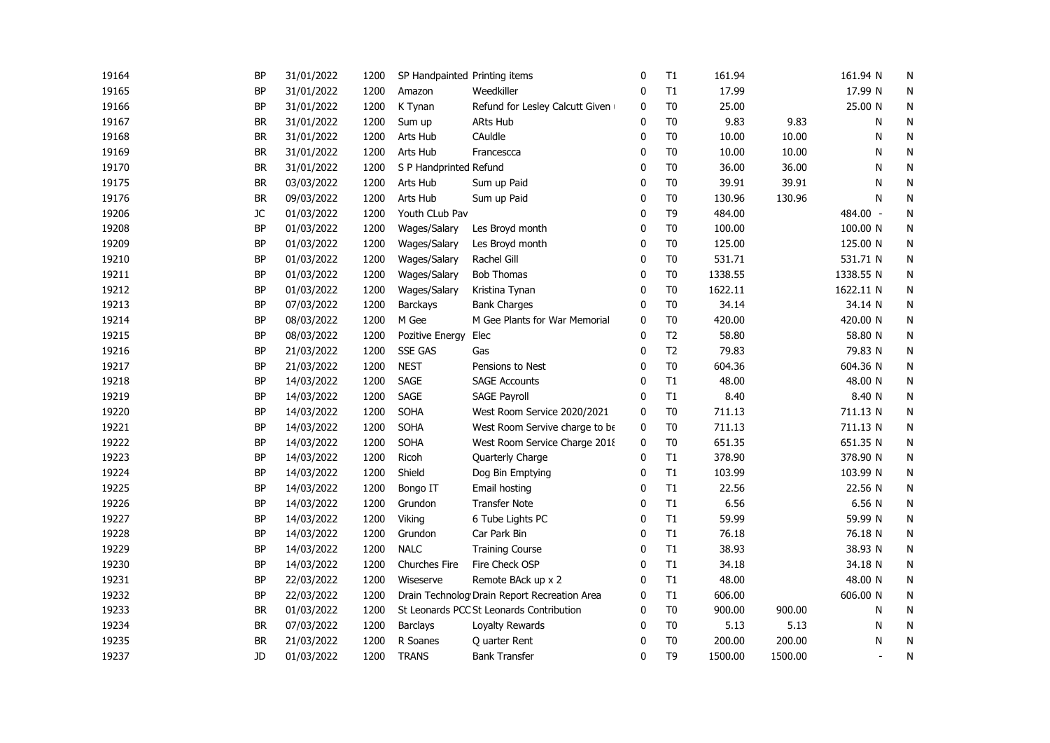| 19164 | <b>BP</b> | 31/01/2022 | 1200 | SP Handpainted Printing items |                                              | $\mathbf 0$  | T1             | 161.94  |         | 161.94 N       | N |
|-------|-----------|------------|------|-------------------------------|----------------------------------------------|--------------|----------------|---------|---------|----------------|---|
| 19165 | <b>BP</b> | 31/01/2022 | 1200 | Amazon                        | Weedkiller                                   | 0            | T1             | 17.99   |         | 17.99 N        | N |
| 19166 | BP        | 31/01/2022 | 1200 | K Tynan                       | Refund for Lesley Calcutt Given              | 0            | T <sub>0</sub> | 25.00   |         | 25.00 N        | N |
| 19167 | BR        | 31/01/2022 | 1200 | Sum up                        | <b>ARts Hub</b>                              | 0            | T <sub>0</sub> | 9.83    | 9.83    | Ν              | N |
| 19168 | <b>BR</b> | 31/01/2022 | 1200 | Arts Hub                      | CAuldle                                      | 0            | T <sub>0</sub> | 10.00   | 10.00   | Ν              | N |
| 19169 | <b>BR</b> | 31/01/2022 | 1200 | Arts Hub                      | Francescca                                   | $\mathbf{0}$ | T <sub>0</sub> | 10.00   | 10.00   | N              | N |
| 19170 | <b>BR</b> | 31/01/2022 | 1200 | S P Handprinted Refund        |                                              | $\mathbf{0}$ | T <sub>0</sub> | 36.00   | 36.00   | N              | N |
| 19175 | <b>BR</b> | 03/03/2022 | 1200 | Arts Hub                      | Sum up Paid                                  | $\Omega$     | T <sub>0</sub> | 39.91   | 39.91   | N              | N |
| 19176 | <b>BR</b> | 09/03/2022 | 1200 | Arts Hub                      | Sum up Paid                                  | $\Omega$     | T <sub>0</sub> | 130.96  | 130.96  | N              | N |
| 19206 | JC        | 01/03/2022 | 1200 | Youth CLub Pav                |                                              | 0            | T <sub>9</sub> | 484.00  |         | 484.00 -       | N |
| 19208 | BP        | 01/03/2022 | 1200 | Wages/Salary                  | Les Broyd month                              | 0            | T <sub>0</sub> | 100.00  |         | 100.00 N       | N |
| 19209 | BP        | 01/03/2022 | 1200 | Wages/Salary                  | Les Broyd month                              | 0            | T <sub>0</sub> | 125.00  |         | 125.00 N       | N |
| 19210 | <b>BP</b> | 01/03/2022 | 1200 | Wages/Salary                  | Rachel Gill                                  | 0            | T <sub>0</sub> | 531.71  |         | 531.71 N       | N |
| 19211 | <b>BP</b> | 01/03/2022 | 1200 | Wages/Salary                  | <b>Bob Thomas</b>                            | 0            | T <sub>0</sub> | 1338.55 |         | 1338.55 N      | N |
| 19212 | BP        | 01/03/2022 | 1200 | Wages/Salary                  | Kristina Tynan                               | $\mathbf{0}$ | T <sub>0</sub> | 1622.11 |         | 1622.11 N      | N |
| 19213 | <b>BP</b> | 07/03/2022 | 1200 | <b>Barckays</b>               | <b>Bank Charges</b>                          | $\mathbf{0}$ | T <sub>0</sub> | 34.14   |         | 34.14 N        | N |
| 19214 | <b>BP</b> | 08/03/2022 | 1200 | M Gee                         | M Gee Plants for War Memorial                | $\mathbf 0$  | T <sub>0</sub> | 420.00  |         | 420.00 N       | N |
| 19215 | <b>BP</b> | 08/03/2022 | 1200 | Pozitive Energy               | Elec                                         | 0            | T <sub>2</sub> | 58.80   |         | 58.80 N        | N |
| 19216 | <b>BP</b> | 21/03/2022 | 1200 | <b>SSE GAS</b>                | Gas                                          | $\mathbf{0}$ | T <sub>2</sub> | 79.83   |         | 79.83 N        | N |
| 19217 | <b>BP</b> | 21/03/2022 | 1200 | <b>NEST</b>                   | Pensions to Nest                             | $\mathbf{0}$ | T <sub>0</sub> | 604.36  |         | 604.36 N       | N |
| 19218 | BP        | 14/03/2022 | 1200 | SAGE                          | <b>SAGE Accounts</b>                         | 0            | T1             | 48.00   |         | 48.00 N        | N |
| 19219 | BP        | 14/03/2022 | 1200 | <b>SAGE</b>                   | <b>SAGE Payroll</b>                          | 0            | T1             | 8.40    |         | 8.40 N         | N |
| 19220 | BP        | 14/03/2022 | 1200 | <b>SOHA</b>                   | West Room Service 2020/2021                  | 0            | T <sub>0</sub> | 711.13  |         | 711.13 N       | N |
| 19221 | BP        | 14/03/2022 | 1200 | SOHA                          | West Room Servive charge to be               | 0            | T <sub>0</sub> | 711.13  |         | 711.13 N       | N |
| 19222 | <b>BP</b> | 14/03/2022 | 1200 | SOHA                          | West Room Service Charge 2018                | 0            | T <sub>0</sub> | 651.35  |         | 651.35 N       | N |
| 19223 | <b>BP</b> | 14/03/2022 | 1200 | Ricoh                         | Quarterly Charge                             | 0            | $\mathsf{T}1$  | 378.90  |         | 378.90 N       | N |
| 19224 | <b>BP</b> | 14/03/2022 | 1200 | Shield                        | Dog Bin Emptying                             | 0            | T1             | 103.99  |         | 103.99 N       | N |
| 19225 | <b>BP</b> | 14/03/2022 | 1200 | Bongo IT                      | Email hosting                                | 0            | T1             | 22.56   |         | 22.56 N        | N |
| 19226 | <b>BP</b> | 14/03/2022 | 1200 | Grundon                       | <b>Transfer Note</b>                         | $\mathbf{0}$ | T1             | 6.56    |         | 6.56 N         | N |
| 19227 | <b>BP</b> | 14/03/2022 | 1200 | Viking                        | 6 Tube Lights PC                             | 0            | T1             | 59.99   |         | 59.99 N        | N |
| 19228 | <b>BP</b> | 14/03/2022 | 1200 | Grundon                       | Car Park Bin                                 | 0            | T1             | 76.18   |         | 76.18 N        | N |
| 19229 | <b>BP</b> | 14/03/2022 | 1200 | <b>NALC</b>                   | <b>Training Course</b>                       | 0            | T1             | 38.93   |         | 38.93 N        | N |
| 19230 | <b>BP</b> | 14/03/2022 | 1200 | Churches Fire                 | Fire Check OSP                               | 0            | T1             | 34.18   |         | 34.18 N        | N |
| 19231 | BP        | 22/03/2022 | 1200 | Wiseserve                     | Remote BAck up x 2                           | 0            | T1             | 48.00   |         | 48.00 N        | N |
| 19232 | BP        | 22/03/2022 | 1200 |                               | Drain Technolog Drain Report Recreation Area | $\mathbf{0}$ | T1             | 606.00  |         | 606.00 N       | N |
| 19233 | <b>BR</b> | 01/03/2022 | 1200 |                               | St Leonards PCC St Leonards Contribution     | $\mathbf 0$  | T <sub>0</sub> | 900.00  | 900.00  | N              | N |
| 19234 | <b>BR</b> | 07/03/2022 | 1200 | <b>Barclays</b>               | Loyalty Rewards                              | 0            | T <sub>0</sub> | 5.13    | 5.13    | N              | N |
| 19235 | <b>BR</b> | 21/03/2022 | 1200 | R Soanes                      | Q uarter Rent                                | 0            | T <sub>0</sub> | 200.00  | 200.00  | N              | N |
| 19237 | JD        | 01/03/2022 | 1200 | <b>TRANS</b>                  | <b>Bank Transfer</b>                         | $\mathbf{0}$ | T <sub>9</sub> | 1500.00 | 1500.00 | $\blacksquare$ | N |
|       |           |            |      |                               |                                              |              |                |         |         |                |   |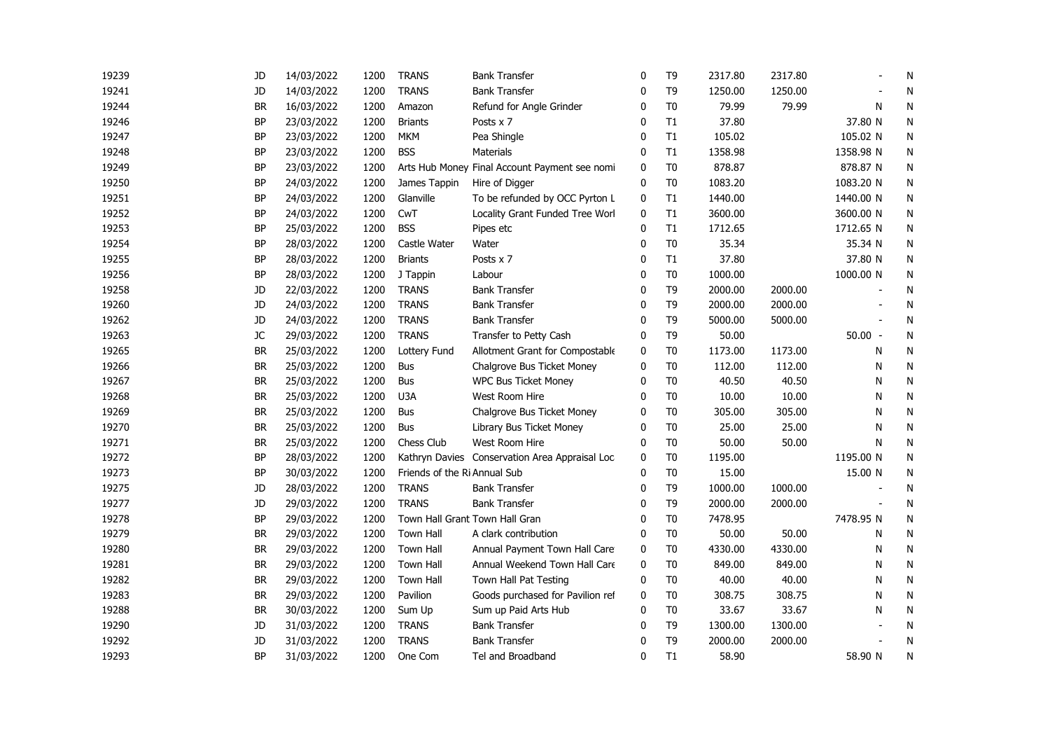| 19239 | JD        | 14/03/2022 | 1200 | <b>TRANS</b>                 | <b>Bank Transfer</b>                           | 0            | T9             | 2317.80 | 2317.80 |           | N |
|-------|-----------|------------|------|------------------------------|------------------------------------------------|--------------|----------------|---------|---------|-----------|---|
| 19241 | JD        | 14/03/2022 | 1200 | <b>TRANS</b>                 | <b>Bank Transfer</b>                           | 0            | T <sub>9</sub> | 1250.00 | 1250.00 |           | N |
| 19244 | <b>BR</b> | 16/03/2022 | 1200 | Amazon                       | Refund for Angle Grinder                       | $\Omega$     | T <sub>0</sub> | 79.99   | 79.99   | N         | N |
| 19246 | <b>BP</b> | 23/03/2022 | 1200 | <b>Briants</b>               | Posts x 7                                      | $\mathbf{0}$ | T1             | 37.80   |         | 37.80 N   | N |
| 19247 | <b>BP</b> | 23/03/2022 | 1200 | <b>MKM</b>                   | Pea Shingle                                    | $\Omega$     | T1             | 105.02  |         | 105.02 N  | N |
| 19248 | <b>BP</b> | 23/03/2022 | 1200 | <b>BSS</b>                   | <b>Materials</b>                               | $\Omega$     | T1             | 1358.98 |         | 1358.98 N | N |
| 19249 | BP        | 23/03/2022 | 1200 |                              | Arts Hub Money Final Account Payment see nomi  | 0            | T <sub>0</sub> | 878.87  |         | 878.87 N  | N |
| 19250 | BP        | 24/03/2022 | 1200 | James Tappin                 | Hire of Digger                                 | 0            | T <sub>0</sub> | 1083.20 |         | 1083.20 N | N |
| 19251 | BP        | 24/03/2022 | 1200 | Glanville                    | To be refunded by OCC Pyrton L                 | 0            | T1             | 1440.00 |         | 1440.00 N | N |
| 19252 | <b>BP</b> | 24/03/2022 | 1200 | CwT                          | Locality Grant Funded Tree Worl                | $\mathbf 0$  | T1             | 3600.00 |         | 3600.00 N | N |
| 19253 | BP        | 25/03/2022 | 1200 | <b>BSS</b>                   | Pipes etc                                      | 0            | T1             | 1712.65 |         | 1712.65 N | N |
| 19254 | <b>BP</b> | 28/03/2022 | 1200 | Castle Water                 | Water                                          | $\mathbf 0$  | T <sub>0</sub> | 35.34   |         | 35.34 N   | N |
| 19255 | <b>BP</b> | 28/03/2022 | 1200 | <b>Briants</b>               | Posts x 7                                      | 0            | T1             | 37.80   |         | 37.80 N   | N |
| 19256 | <b>BP</b> | 28/03/2022 | 1200 | J Tappin                     | Labour                                         | 0            | T <sub>0</sub> | 1000.00 |         | 1000.00 N | N |
| 19258 | JD        | 22/03/2022 | 1200 | <b>TRANS</b>                 | <b>Bank Transfer</b>                           | $\mathbf{0}$ | T <sub>9</sub> | 2000.00 | 2000.00 |           | N |
| 19260 | JD        | 24/03/2022 | 1200 | <b>TRANS</b>                 | <b>Bank Transfer</b>                           | $\mathbf 0$  | T <sub>9</sub> | 2000.00 | 2000.00 |           | N |
| 19262 | JD        | 24/03/2022 | 1200 | <b>TRANS</b>                 | <b>Bank Transfer</b>                           | $\mathbf{0}$ | T <sub>9</sub> | 5000.00 | 5000.00 |           | N |
| 19263 | JC        | 29/03/2022 | 1200 | <b>TRANS</b>                 | Transfer to Petty Cash                         | 0            | T <sub>9</sub> | 50.00   |         | $50.00 -$ | N |
| 19265 | BR        | 25/03/2022 | 1200 | Lottery Fund                 | Allotment Grant for Compostable                | 0            | T <sub>0</sub> | 1173.00 | 1173.00 | N         | N |
| 19266 | <b>BR</b> | 25/03/2022 | 1200 | <b>Bus</b>                   | Chalgrove Bus Ticket Money                     | $\mathbf{0}$ | T <sub>0</sub> | 112.00  | 112.00  | N         | N |
| 19267 | <b>BR</b> | 25/03/2022 | 1200 | <b>Bus</b>                   | <b>WPC Bus Ticket Money</b>                    | 0            | T <sub>0</sub> | 40.50   | 40.50   | N         | N |
| 19268 | <b>BR</b> | 25/03/2022 | 1200 | U3A                          | West Room Hire                                 | $\Omega$     | T <sub>0</sub> | 10.00   | 10.00   | N         | N |
| 19269 | <b>BR</b> | 25/03/2022 | 1200 | <b>Bus</b>                   | Chalgrove Bus Ticket Money                     | 0            | T <sub>0</sub> | 305.00  | 305.00  | N         | N |
| 19270 | <b>BR</b> | 25/03/2022 | 1200 | <b>Bus</b>                   | Library Bus Ticket Money                       | 0            | T <sub>0</sub> | 25.00   | 25.00   | N         | N |
| 19271 | <b>BR</b> | 25/03/2022 | 1200 | Chess Club                   | West Room Hire                                 | 0            | T <sub>0</sub> | 50.00   | 50.00   | N         | N |
| 19272 | <b>BP</b> | 28/03/2022 | 1200 |                              | Kathryn Davies Conservation Area Appraisal Loc | 0            | T <sub>0</sub> | 1195.00 |         | 1195.00 N | N |
| 19273 | BP        | 30/03/2022 | 1200 | Friends of the Ri Annual Sub |                                                | 0            | T <sub>0</sub> | 15.00   |         | 15.00 N   | N |
| 19275 | JD        | 28/03/2022 | 1200 | <b>TRANS</b>                 | <b>Bank Transfer</b>                           | 0            | T <sub>9</sub> | 1000.00 | 1000.00 |           | N |
| 19277 | JD        | 29/03/2022 | 1200 | <b>TRANS</b>                 | <b>Bank Transfer</b>                           | $\mathbf{0}$ | T <sub>9</sub> | 2000.00 | 2000.00 |           | N |
| 19278 | <b>BP</b> | 29/03/2022 | 1200 |                              | Town Hall Grant Town Hall Gran                 | 0            | T <sub>0</sub> | 7478.95 |         | 7478.95 N | N |
| 19279 | <b>BR</b> | 29/03/2022 | 1200 | Town Hall                    | A clark contribution                           | 0            | T <sub>0</sub> | 50.00   | 50.00   | Ν         | N |
| 19280 | <b>BR</b> | 29/03/2022 | 1200 | <b>Town Hall</b>             | Annual Payment Town Hall Care                  | 0            | T <sub>0</sub> | 4330.00 | 4330.00 | N         | N |
| 19281 | <b>BR</b> | 29/03/2022 | 1200 | <b>Town Hall</b>             | Annual Weekend Town Hall Care                  | $\mathbf 0$  | T <sub>0</sub> | 849.00  | 849.00  | N         | N |
| 19282 | <b>BR</b> | 29/03/2022 | 1200 | Town Hall                    | Town Hall Pat Testing                          | 0            | T <sub>0</sub> | 40.00   | 40.00   | N         | N |
| 19283 | BR        | 29/03/2022 | 1200 | Pavilion                     | Goods purchased for Pavilion ref               | 0            | T <sub>0</sub> | 308.75  | 308.75  | N         | N |
| 19288 | BR        | 30/03/2022 | 1200 | Sum Up                       | Sum up Paid Arts Hub                           | 0            | T <sub>0</sub> | 33.67   | 33.67   | N         | N |
| 19290 | JD        | 31/03/2022 | 1200 | <b>TRANS</b>                 | <b>Bank Transfer</b>                           | 0            | T <sub>9</sub> | 1300.00 | 1300.00 |           | N |
| 19292 | JD        | 31/03/2022 | 1200 | <b>TRANS</b>                 | <b>Bank Transfer</b>                           | 0            | T <sub>9</sub> | 2000.00 | 2000.00 |           | N |
| 19293 | <b>BP</b> | 31/03/2022 | 1200 | One Com                      | Tel and Broadband                              | $\mathbf{0}$ | T1             | 58.90   |         | 58.90 N   | N |